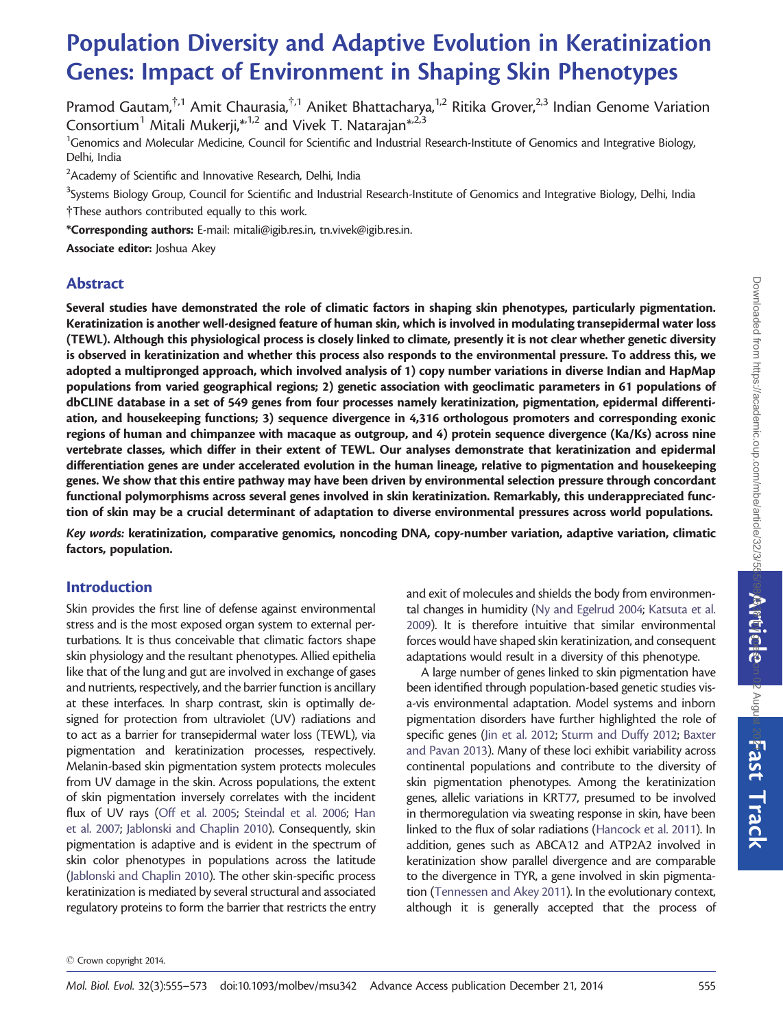Fast Track

# Population Diversity and Adaptive Evolution in Keratinization Genes: Impact of Environment in Shaping Skin Phenotypes

Pramod Gautam,<sup>†,1</sup> Amit Chaurasia,<sup>†,1</sup> Aniket Bhattacharya,<sup>1,2</sup> Ritika Grover,<sup>2,3</sup> Indian Genome Variation Consortium<sup>1</sup> Mitali Mukerii,<sup>\*,1,2</sup> and Vivek T. Natarajan<sup>\*,2,3</sup>

<sup>1</sup>Genomics and Molecular Medicine, Council for Scientific and Industrial Research-Institute of Genomics and Integrative Biology, Delhi, India

 $^{2}$ Academy of Scientific and Innovative Research, Delhi, India

<sup>3</sup>Systems Biology Group, Council for Scientific and Industrial Research-Institute of Genomics and Integrative Biology, Delhi, India  $†$ These authors contributed equally to this work.

\*Corresponding authors: E-mail: mitali@igib.res.in, tn.vivek@igib.res.in.

Associate editor: Joshua Akey

# Abstract

Several studies have demonstrated the role of climatic factors in shaping skin phenotypes, particularly pigmentation. Keratinization is another well-designed feature of human skin, which is involved in modulating transepidermal water loss (TEWL). Although this physiological process is closely linked to climate, presently it is not clear whether genetic diversity is observed in keratinization and whether this process also responds to the environmental pressure. To address this, we adopted a multipronged approach, which involved analysis of 1) copy number variations in diverse Indian and HapMap populations from varied geographical regions; 2) genetic association with geoclimatic parameters in 61 populations of dbCLINE database in a set of 549 genes from four processes namely keratinization, pigmentation, epidermal differentiation, and housekeeping functions; 3) sequence divergence in 4,316 orthologous promoters and corresponding exonic regions of human and chimpanzee with macaque as outgroup, and 4) protein sequence divergence (Ka/Ks) across nine vertebrate classes, which differ in their extent of TEWL. Our analyses demonstrate that keratinization and epidermal differentiation genes are under accelerated evolution in the human lineage, relative to pigmentation and housekeeping genes. We show that this entire pathway may have been driven by environmental selection pressure through concordant functional polymorphisms across several genes involved in skin keratinization. Remarkably, this underappreciated function of skin may be a crucial determinant of adaptation to diverse environmental pressures across world populations.

Key words: keratinization, comparative genomics, noncoding DNA, copy-number variation, adaptive variation, climatic factors, population.

# Introduction

Skin provides the first line of defense against environmental stress and is the most exposed organ system to external perturbations. It is thus conceivable that climatic factors shape skin physiology and the resultant phenotypes. Allied epithelia like that of the lung and gut are involved in exchange of gases and nutrients, respectively, and the barrier function is ancillary at these interfaces. In sharp contrast, skin is optimally designed for protection from ultraviolet (UV) radiations and to act as a barrier for transepidermal water loss (TEWL), via pigmentation and keratinization processes, respectively. Melanin-based skin pigmentation system protects molecules from UV damage in the skin. Across populations, the extent of skin pigmentation inversely correlates with the incident flux of UV rays (Off et al. 2005; Steindal et al. 2006; Han et al. 2007; Jablonski and Chaplin 2010). Consequently, skin pigmentation is adaptive and is evident in the spectrum of skin color phenotypes in populations across the latitude (Jablonski and Chaplin 2010). The other skin-specific process keratinization is mediated by several structural and associated regulatory proteins to form the barrier that restricts the entry and exit of molecules and shields the body from environmental changes in humidity (Ny and Egelrud 2004; Katsuta et al. 2009). It is therefore intuitive that similar environmental forces would have shaped skin keratinization, and consequent adaptations would result in a diversity of this phenotype.

A large number of genes linked to skin pigmentation have been identified through population-based genetic studies visa-vis environmental adaptation. Model systems and inborn pigmentation disorders have further highlighted the role of specific genes (Jin et al. 2012; Sturm and Duffy 2012; Baxter and Pavan 2013). Many of these loci exhibit variability across continental populations and contribute to the diversity of skin pigmentation phenotypes. Among the keratinization genes, allelic variations in KRT77, presumed to be involved in thermoregulation via sweating response in skin, have been linked to the flux of solar radiations (Hancock et al. 2011). In addition, genes such as ABCA12 and ATP2A2 involved in keratinization show parallel divergence and are comparable to the divergence in TYR, a gene involved in skin pigmentation (Tennessen and Akey 2011). In the evolutionary context, although it is generally accepted that the process of

© Crown copyright 2014.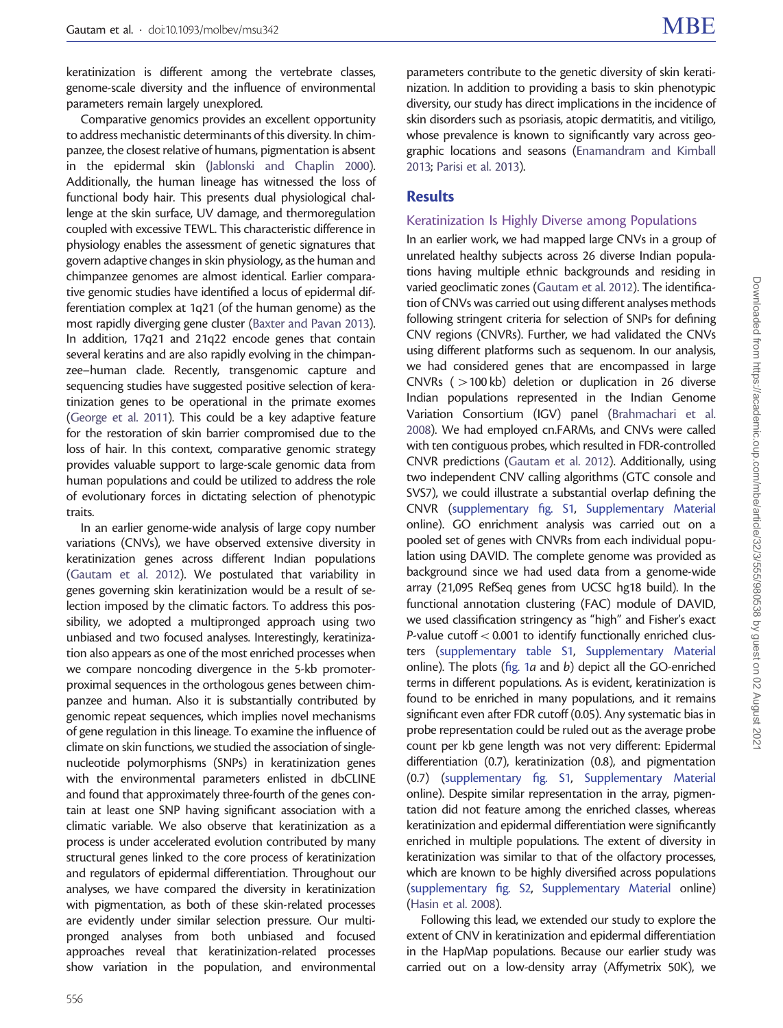keratinization is different among the vertebrate classes, genome-scale diversity and the influence of environmental parameters remain largely unexplored.

Comparative genomics provides an excellent opportunity to address mechanistic determinants of this diversity. In chimpanzee, the closest relative of humans, pigmentation is absent in the epidermal skin (Jablonski and Chaplin 2000). Additionally, the human lineage has witnessed the loss of functional body hair. This presents dual physiological challenge at the skin surface, UV damage, and thermoregulation coupled with excessive TEWL. This characteristic difference in physiology enables the assessment of genetic signatures that govern adaptive changes in skin physiology, as the human and chimpanzee genomes are almost identical. Earlier comparative genomic studies have identified a locus of epidermal differentiation complex at 1q21 (of the human genome) as the most rapidly diverging gene cluster (Baxter and Pavan 2013). In addition, 17q21 and 21q22 encode genes that contain several keratins and are also rapidly evolving in the chimpanzee–human clade. Recently, transgenomic capture and sequencing studies have suggested positive selection of keratinization genes to be operational in the primate exomes (George et al. 2011). This could be a key adaptive feature for the restoration of skin barrier compromised due to the loss of hair. In this context, comparative genomic strategy provides valuable support to large-scale genomic data from human populations and could be utilized to address the role of evolutionary forces in dictating selection of phenotypic traits.

In an earlier genome-wide analysis of large copy number variations (CNVs), we have observed extensive diversity in keratinization genes across different Indian populations (Gautam et al. 2012). We postulated that variability in genes governing skin keratinization would be a result of selection imposed by the climatic factors. To address this possibility, we adopted a multipronged approach using two unbiased and two focused analyses. Interestingly, keratinization also appears as one of the most enriched processes when we compare noncoding divergence in the 5-kb promoterproximal sequences in the orthologous genes between chimpanzee and human. Also it is substantially contributed by genomic repeat sequences, which implies novel mechanisms of gene regulation in this lineage. To examine the influence of climate on skin functions, we studied the association of singlenucleotide polymorphisms (SNPs) in keratinization genes with the environmental parameters enlisted in dbCLINE and found that approximately three-fourth of the genes contain at least one SNP having significant association with a climatic variable. We also observe that keratinization as a process is under accelerated evolution contributed by many structural genes linked to the core process of keratinization and regulators of epidermal differentiation. Throughout our analyses, we have compared the diversity in keratinization with pigmentation, as both of these skin-related processes are evidently under similar selection pressure. Our multipronged analyses from both unbiased and focused approaches reveal that keratinization-related processes show variation in the population, and environmental

parameters contribute to the genetic diversity of skin keratinization. In addition to providing a basis to skin phenotypic diversity, our study has direct implications in the incidence of skin disorders such as psoriasis, atopic dermatitis, and vitiligo, whose prevalence is known to significantly vary across geographic locations and seasons (Enamandram and Kimball 2013; Parisi et al. 2013).

# **Results**

## Keratinization Is Highly Diverse among Populations

In an earlier work, we had mapped large CNVs in a group of unrelated healthy subjects across 26 diverse Indian populations having multiple ethnic backgrounds and residing in varied geoclimatic zones (Gautam et al. 2012). The identification of CNVs was carried out using different analyses methods following stringent criteria for selection of SNPs for defining CNV regions (CNVRs). Further, we had validated the CNVs using different platforms such as sequenom. In our analysis, we had considered genes that are encompassed in large  $CNVRs$  ( $>100$  kb) deletion or duplication in 26 diverse Indian populations represented in the Indian Genome Variation Consortium (IGV) panel (Brahmachari et al. 2008). We had employed cn.FARMs, and CNVs were called with ten contiguous probes, which resulted in FDR-controlled CNVR predictions (Gautam et al. 2012). Additionally, using two independent CNV calling algorithms (GTC console and SVS7), we could illustrate a substantial overlap defining the CNVR (supplementary fig. S1, Supplementary Material online). GO enrichment analysis was carried out on a pooled set of genes with CNVRs from each individual population using DAVID. The complete genome was provided as background since we had used data from a genome-wide array (21,095 RefSeq genes from UCSC hg18 build). In the functional annotation clustering (FAC) module of DAVID, we used classification stringency as "high" and Fisher's exact P-value cutoff< 0.001 to identify functionally enriched clusters (supplementary table S1, Supplementary Material online). The plots (fig. 1a and b) depict all the GO-enriched terms in different populations. As is evident, keratinization is found to be enriched in many populations, and it remains significant even after FDR cutoff (0.05). Any systematic bias in probe representation could be ruled out as the average probe count per kb gene length was not very different: Epidermal differentiation (0.7), keratinization (0.8), and pigmentation (0.7) (supplementary fig. S1, Supplementary Material online). Despite similar representation in the array, pigmentation did not feature among the enriched classes, whereas keratinization and epidermal differentiation were significantly enriched in multiple populations. The extent of diversity in keratinization was similar to that of the olfactory processes, which are known to be highly diversified across populations (supplementary fig. S2, Supplementary Material online) (Hasin et al. 2008).

Following this lead, we extended our study to explore the extent of CNV in keratinization and epidermal differentiation in the HapMap populations. Because our earlier study was carried out on a low-density array (Affymetrix 50K), we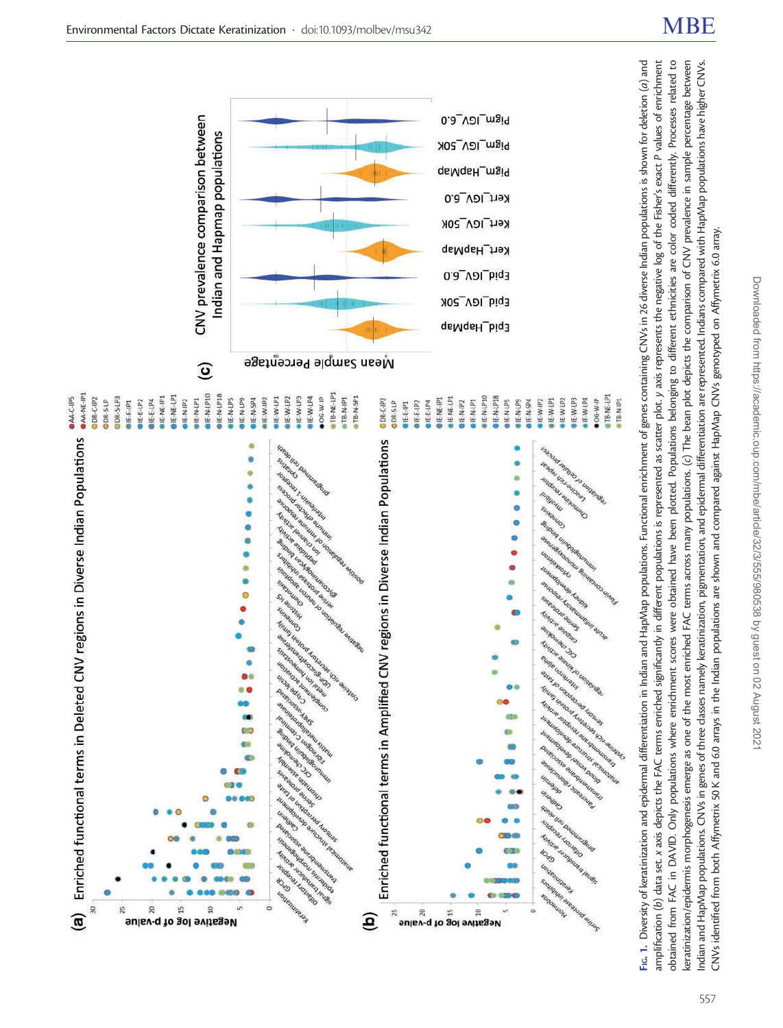obtained from FAC in DAVID. Only populations where enrichment scores were obtained have been plotted. Populations belonging to different ethnicities are color coded differently. Processes related to keratinization/epidermis morphogenesis emerge as one of the most enriched FAC terms across many populations. (c) The bean plot depicts the comparison of CNV prevalence in sample percentage between Fra. 1. Diversity of keratinization and epidermal differentiation in Indian and HapMap populations. Functional enrichment of genes containing CNVs in 26 diverse Indian populations is shown for deletion (a) and amplification (b) data set. x axis depicts the FAC terms enriched significantly in different populations is represented as scatter plot. y axis represents the negative log of the Fisher's exact P values of enrichment Indian and HapMap populations. CNVs in genes of three classes namely keratinization, pigmentation, and epidermal differentiation are represented. Indians compared with HapMap populations have higher CNVs. FIG. 1. Diversity of keratinization and epidermal differentiation in Indian and HapMap populations. Functional enrichment of genes containing CNVs in 26 diverse Indian populations is shown for deletion (a) and amplification (b) data set. x axis depicts the FAC terms enriched significantly in different populations is represented as scatter plot. y axis represents the negative log of the Fisher's exact P values of enrichment obtained from FAC in DAVID. Only populations where enrichment scores were obtained have been plotted. Populations belonging to different ethnicities are color coded differently. Processes related to Indian and HapMap populations. CNVs in genes of three classes namely keratinization, pigmentation, and epidermal differentiation are represented. Indians compared with HapMap populations have higher CNVs. keratinization/epidermis morphogenesis emerge as one of the most enriched FAC terms across many populations. (c) The bean plot depicts the comparison of CNV prevalence in sample percentage between CNVs identified from both Affymetrix 50K and 6.0 arrays in the Indian populations are shown and compared against HapMap CNVs genotyped on Affymetrix 6.0 array. CNVs identified from both Affymetrix 50 K and 6.0 arrays in the Indian populations are shown and compared against HapMap CNVs genotyped on Affymetrix 6.0 array.

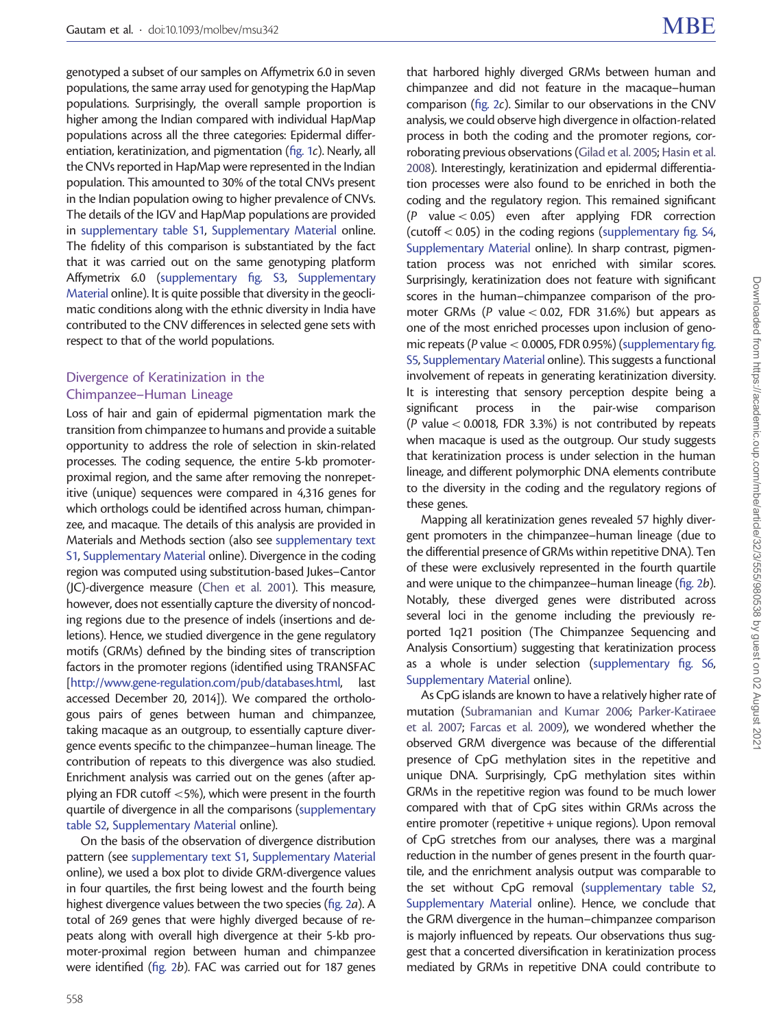genotyped a subset of our samples on Affymetrix 6.0 in seven populations, the same array used for genotyping the HapMap populations. Surprisingly, the overall sample proportion is higher among the Indian compared with individual HapMap populations across all the three categories: Epidermal differentiation, keratinization, and pigmentation (fig. 1c). Nearly, all the CNVs reported in HapMap were represented in the Indian population. This amounted to 30% of the total CNVs present in the Indian population owing to higher prevalence of CNVs. The details of the IGV and HapMap populations are provided in supplementary table S1, Supplementary Material online. The fidelity of this comparison is substantiated by the fact that it was carried out on the same genotyping platform Affymetrix 6.0 (supplementary fig. S3, Supplementary Material online). It is quite possible that diversity in the geoclimatic conditions along with the ethnic diversity in India have contributed to the CNV differences in selected gene sets with respect to that of the world populations.

# Divergence of Keratinization in the Chimpanzee–Human Lineage

Loss of hair and gain of epidermal pigmentation mark the transition from chimpanzee to humans and provide a suitable opportunity to address the role of selection in skin-related processes. The coding sequence, the entire 5-kb promoterproximal region, and the same after removing the nonrepetitive (unique) sequences were compared in 4,316 genes for which orthologs could be identified across human, chimpanzee, and macaque. The details of this analysis are provided in Materials and Methods section (also see supplementary text S1, Supplementary Material online). Divergence in the coding region was computed using substitution-based Jukes–Cantor (JC)-divergence measure (Chen et al. 2001). This measure, however, does not essentially capture the diversity of noncoding regions due to the presence of indels (insertions and deletions). Hence, we studied divergence in the gene regulatory motifs (GRMs) defined by the binding sites of transcription factors in the promoter regions (identified using TRANSFAC [http://www.gene-regulation.com/pub/databases.html, last accessed December 20, 2014]). We compared the orthologous pairs of genes between human and chimpanzee, taking macaque as an outgroup, to essentially capture divergence events specific to the chimpanzee–human lineage. The contribution of repeats to this divergence was also studied. Enrichment analysis was carried out on the genes (after applying an FDR cutoff <5%), which were present in the fourth quartile of divergence in all the comparisons (supplementary table S2, Supplementary Material online).

On the basis of the observation of divergence distribution pattern (see supplementary text S1, Supplementary Material online), we used a box plot to divide GRM-divergence values in four quartiles, the first being lowest and the fourth being highest divergence values between the two species (fig. 2a). A total of 269 genes that were highly diverged because of repeats along with overall high divergence at their 5-kb promoter-proximal region between human and chimpanzee were identified (fig. 2b). FAC was carried out for 187 genes

that harbored highly diverged GRMs between human and chimpanzee and did not feature in the macaque–human comparison (fig. 2c). Similar to our observations in the CNV analysis, we could observe high divergence in olfaction-related process in both the coding and the promoter regions, corroborating previous observations (Gilad et al. 2005; Hasin et al. 2008). Interestingly, keratinization and epidermal differentiation processes were also found to be enriched in both the coding and the regulatory region. This remained significant (P value  $< 0.05$ ) even after applying FDR correction (cutoff  $< 0.05$ ) in the coding regions (supplementary fig. S4, Supplementary Material online). In sharp contrast, pigmentation process was not enriched with similar scores. Surprisingly, keratinization does not feature with significant scores in the human–chimpanzee comparison of the promoter GRMs (P value  $< 0.02$ , FDR 31.6%) but appears as one of the most enriched processes upon inclusion of genomic repeats (P value  $<$  0.0005, FDR 0.95%) (supplementary fig. S5, Supplementary Material online). This suggests a functional involvement of repeats in generating keratinization diversity. It is interesting that sensory perception despite being a significant process in the pair-wise comparison (P value  $<$  0.0018, FDR 3.3%) is not contributed by repeats when macaque is used as the outgroup. Our study suggests that keratinization process is under selection in the human lineage, and different polymorphic DNA elements contribute to the diversity in the coding and the regulatory regions of these genes.

Mapping all keratinization genes revealed 57 highly divergent promoters in the chimpanzee–human lineage (due to the differential presence of GRMs within repetitive DNA). Ten of these were exclusively represented in the fourth quartile and were unique to the chimpanzee–human lineage (fig. 2b). Notably, these diverged genes were distributed across several loci in the genome including the previously reported 1q21 position (The Chimpanzee Sequencing and Analysis Consortium) suggesting that keratinization process as a whole is under selection (supplementary fig. S6, Supplementary Material online).

As CpG islands are known to have a relatively higher rate of mutation (Subramanian and Kumar 2006; Parker-Katiraee et al. 2007; Farcas et al. 2009), we wondered whether the observed GRM divergence was because of the differential presence of CpG methylation sites in the repetitive and unique DNA. Surprisingly, CpG methylation sites within GRMs in the repetitive region was found to be much lower compared with that of CpG sites within GRMs across the entire promoter (repetitive + unique regions). Upon removal of CpG stretches from our analyses, there was a marginal reduction in the number of genes present in the fourth quartile, and the enrichment analysis output was comparable to the set without CpG removal (supplementary table S2, Supplementary Material online). Hence, we conclude that the GRM divergence in the human–chimpanzee comparison is majorly influenced by repeats. Our observations thus suggest that a concerted diversification in keratinization process mediated by GRMs in repetitive DNA could contribute to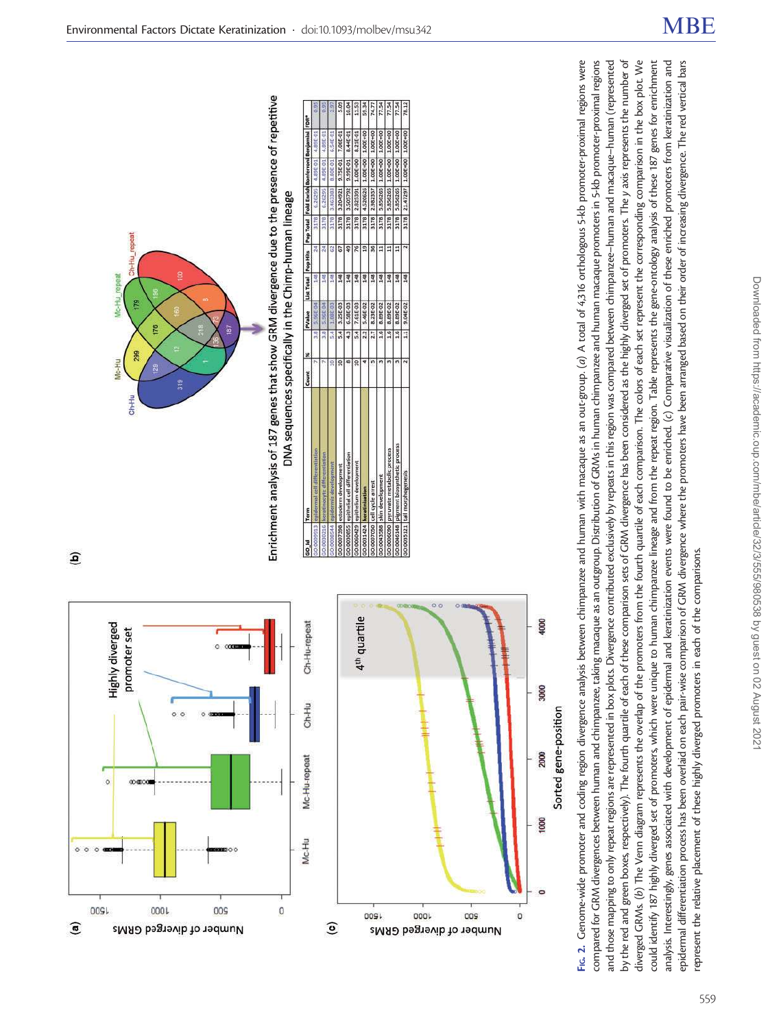





| GO 1d      | Term                            | Count          |                | PValue              | List Total Pop Hits |    | Pop Total | Fold Enrich Bonferroni |              | Beniamini FDR*     |                |
|------------|---------------------------------|----------------|----------------|---------------------|---------------------|----|-----------|------------------------|--------------|--------------------|----------------|
|            |                                 |                | œ              | <b>BE-D4</b>        | ş                   |    | 178       | 26295                  | ₹<br>岜       | 89E-07             |                |
| 216        | nocyte disterentiation          |                | œ              | PQ:<br><b>SHEEP</b> | ą                   |    | 1781      | 6.26295                | <b>D-368</b> | 89E-01             |                |
|            | fermis development              |                | 5.             | 886-03              | ş                   | G  |           | 463383                 | $30 - 0$     | <b>S4E-01</b><br>ŭ |                |
|            | ectoderm development            | $\overline{a}$ |                | 3.25E-03            | 48                  | 5  | 3178      | 204921                 | 9.75E-01     | $.06E-01$          |                |
| GO:0030855 | epithelial cell differentiation |                |                | 6.58E-03            | 48                  |    | 3178      | <b>SOS792</b>          | 9.99E-01     | 8.44E-01           | $\frac{8}{9}$  |
| GO:0060429 | epithelium development          | ē              | $\frac{4}{5}$  | 61E-03              | 48                  | ۶  | 178       | 825391                 | $-00E + 00$  | 21E-01             | $\frac{53}{2}$ |
|            |                                 |                | ¢<br>l         | 46E-02              | 48                  | ġ, | 178       | 520626                 | 1.00E+00     | 006+00             | 59.34          |
| GO:0007050 | cell cycle arrest               | in             |                | 8.23E-02            | 48                  | 36 | 178       | 2.982357               | 1.00E+00     | 006+00             | 74.77          |
| GO:0043588 | skin development                |                | $\overline{5}$ | 8.89E-02            | 48                  | H  | 178       | 856265                 | 1.00E+00     | 00E+00             | 77.54          |
| GO:0006090 | pyruvate metabolic process      |                | $\overline{5}$ | 8.89E-02            | 48                  | 1  | 178       | 856265                 | 1.00E+00     | 006+00             | 77.54          |
| GO:0046148 | igment biosynthetic process     | m              | $\overline{5}$ | 8.89E-02            | 148                 | į  | 3178      | 856265                 | $1.00E + 00$ | $1.00E+00$         | 77.54          |
| GO:0035121 | morphogenesis<br>ā              |                | $\overline{1}$ | 9.04E-02            | 48                  |    | 3178      | 21.47297               | 1.00E+00     | $.00E + 00$        | 78.12          |
|            |                                 |                |                |                     |                     |    |           |                        |              |                    |                |

Fig. 2. Genome-wide promoter and coding region divergence analysis between chimpanzee and human with macaque as an out-group. (a) A total of 4,316 orthologous 5-kb promoter-proximal regions were compared for GRM divergences between human and chimpanzee, taking macaque as an outgroup. Distribution of GRMs in human chimpanzee and human macaque promoters in 5-kb promoter-proximal regions and those mapping to only repeat regions are represented in box plots. Divergence contributed exclusively by repeats in this region was compared between chimpanzee-human and macaque-human (represented by the red and green boxes, respectively). The fourth quartile of each of these comparison sets of GRM divergence has been considered as the highly diverged set of promoters. The y axis represents the number of diverged GRMs. (b) The Venn diagram represents the overlap of the promoters from the fourth quartile of each comparison. The colors of each set represent the corresponding comparison in the box plot. We could identify 187 highly diverged set of promoters, which were unique to human chimpanzee lineage and from the repeat region. Table represents the gene-ontology analysis of these 187 genes for enrichment analysis. Interestingly, genes associated with development of epidermal and keratinization events were found to be emiched. (c) Comparative visualization of these emiched promoters from keratinization and pidermal differentiation process has been overlaid on each pair-wise comparison of GRM divergence where the promoters have been arranged based on their order of increasing divergence. The red vertical bars FIG. 2. Genome-wide promoter and coding region divergence analysis between chimpanzee and human with macaque as an out-group. (a) A total of 4,316 orthologous 5-kb promoter-proximal regions were compared for GRM divergences between human and chimpanzee, taking macaque as an outgroup. Distribution of GRMs in human chimpanzee and human macaque promoters in 5-kb promoter-proximal regions and those mapping to only repeat regions are represented in box plots. Divergence contributed exclusively by repeats in this region was compared between chimpanzee–human and macaque–human (represented by the red and green boxes, respectively). The fourth quartile of each of these comparison sets of GRM divergence has been considered as the highly diverged set of promoters. The y axis represents the number of diverged GRMs. (b) The Venn diagram represents the overlap of the promoters from the fourth quartile of each comparison. The colors of each set represent the corresponding comparison in the box plot. We could identify 187 highly diverged set of promoters, which were unique to human chimpanzee lineage and from the repeat region. Table represents the gene-ontology analysis of these 187 genes for enrichment analysis. Interestingly, genes associated with development of epidermal and keratiion events were found to be enriched promoters from the enriched promoters from keratinization and epidermal differentiation process has been overlaid on each pair-wise comparison of GRM divergence where the promoters have been arranged based on their order of increasing divergence. The red vertical bars represent the relative placement of these highly diverged promoters in each of the comparisons. represent the relative placement of these highly diverged promoters in each of the comparisons.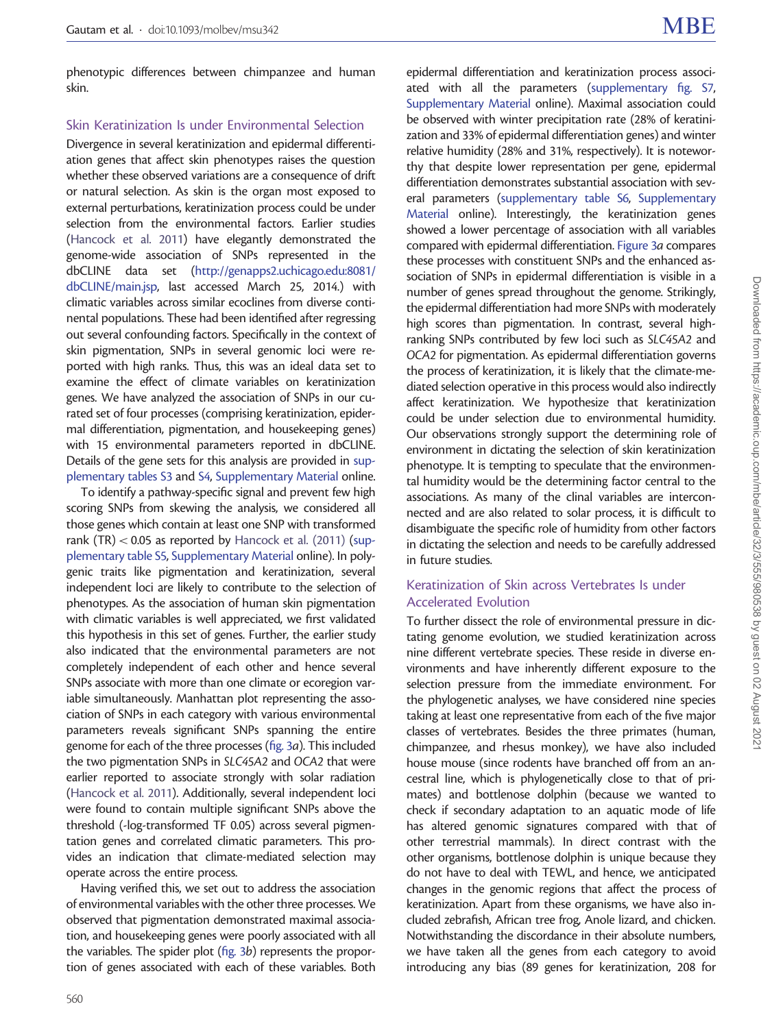phenotypic differences between chimpanzee and human skin.

#### Skin Keratinization Is under Environmental Selection

Divergence in several keratinization and epidermal differentiation genes that affect skin phenotypes raises the question whether these observed variations are a consequence of drift or natural selection. As skin is the organ most exposed to external perturbations, keratinization process could be under selection from the environmental factors. Earlier studies (Hancock et al. 2011) have elegantly demonstrated the genome-wide association of SNPs represented in the dbCLINE data set (http://genapps2.uchicago.edu:8081/ dbCLINE/main.jsp, last accessed March 25, 2014.) with climatic variables across similar ecoclines from diverse continental populations. These had been identified after regressing out several confounding factors. Specifically in the context of skin pigmentation, SNPs in several genomic loci were reported with high ranks. Thus, this was an ideal data set to examine the effect of climate variables on keratinization genes. We have analyzed the association of SNPs in our curated set of four processes (comprising keratinization, epidermal differentiation, pigmentation, and housekeeping genes) with 15 environmental parameters reported in dbCLINE. Details of the gene sets for this analysis are provided in supplementary tables S3 and S4, Supplementary Material online.

To identify a pathway-specific signal and prevent few high scoring SNPs from skewing the analysis, we considered all those genes which contain at least one SNP with transformed rank  $(TR)$  < 0.05 as reported by Hancock et al. (2011) (supplementary table S5, Supplementary Material online). In polygenic traits like pigmentation and keratinization, several independent loci are likely to contribute to the selection of phenotypes. As the association of human skin pigmentation with climatic variables is well appreciated, we first validated this hypothesis in this set of genes. Further, the earlier study also indicated that the environmental parameters are not completely independent of each other and hence several SNPs associate with more than one climate or ecoregion variable simultaneously. Manhattan plot representing the association of SNPs in each category with various environmental parameters reveals significant SNPs spanning the entire genome for each of the three processes (fig. 3a). This included the two pigmentation SNPs in SLC45A2 and OCA2 that were earlier reported to associate strongly with solar radiation (Hancock et al. 2011). Additionally, several independent loci were found to contain multiple significant SNPs above the threshold (-log-transformed TF 0.05) across several pigmentation genes and correlated climatic parameters. This provides an indication that climate-mediated selection may operate across the entire process.

Having verified this, we set out to address the association of environmental variables with the other three processes. We observed that pigmentation demonstrated maximal association, and housekeeping genes were poorly associated with all the variables. The spider plot (fig. 3b) represents the proportion of genes associated with each of these variables. Both

epidermal differentiation and keratinization process associated with all the parameters (supplementary fig. S7, Supplementary Material online). Maximal association could be observed with winter precipitation rate (28% of keratinization and 33% of epidermal differentiation genes) and winter relative humidity (28% and 31%, respectively). It is noteworthy that despite lower representation per gene, epidermal differentiation demonstrates substantial association with several parameters (supplementary table S6, Supplementary Material online). Interestingly, the keratinization genes showed a lower percentage of association with all variables compared with epidermal differentiation. Figure 3a compares these processes with constituent SNPs and the enhanced association of SNPs in epidermal differentiation is visible in a number of genes spread throughout the genome. Strikingly, the epidermal differentiation had more SNPs with moderately high scores than pigmentation. In contrast, several highranking SNPs contributed by few loci such as SLC45A2 and OCA2 for pigmentation. As epidermal differentiation governs the process of keratinization, it is likely that the climate-mediated selection operative in this process would also indirectly affect keratinization. We hypothesize that keratinization could be under selection due to environmental humidity. Our observations strongly support the determining role of environment in dictating the selection of skin keratinization phenotype. It is tempting to speculate that the environmental humidity would be the determining factor central to the associations. As many of the clinal variables are interconnected and are also related to solar process, it is difficult to disambiguate the specific role of humidity from other factors in dictating the selection and needs to be carefully addressed

# Keratinization of Skin across Vertebrates Is under Accelerated Evolution

in future studies.

To further dissect the role of environmental pressure in dictating genome evolution, we studied keratinization across nine different vertebrate species. These reside in diverse environments and have inherently different exposure to the selection pressure from the immediate environment. For the phylogenetic analyses, we have considered nine species taking at least one representative from each of the five major classes of vertebrates. Besides the three primates (human, chimpanzee, and rhesus monkey), we have also included house mouse (since rodents have branched off from an ancestral line, which is phylogenetically close to that of primates) and bottlenose dolphin (because we wanted to check if secondary adaptation to an aquatic mode of life has altered genomic signatures compared with that of other terrestrial mammals). In direct contrast with the other organisms, bottlenose dolphin is unique because they do not have to deal with TEWL, and hence, we anticipated changes in the genomic regions that affect the process of keratinization. Apart from these organisms, we have also included zebrafish, African tree frog, Anole lizard, and chicken. Notwithstanding the discordance in their absolute numbers, we have taken all the genes from each category to avoid introducing any bias (89 genes for keratinization, 208 for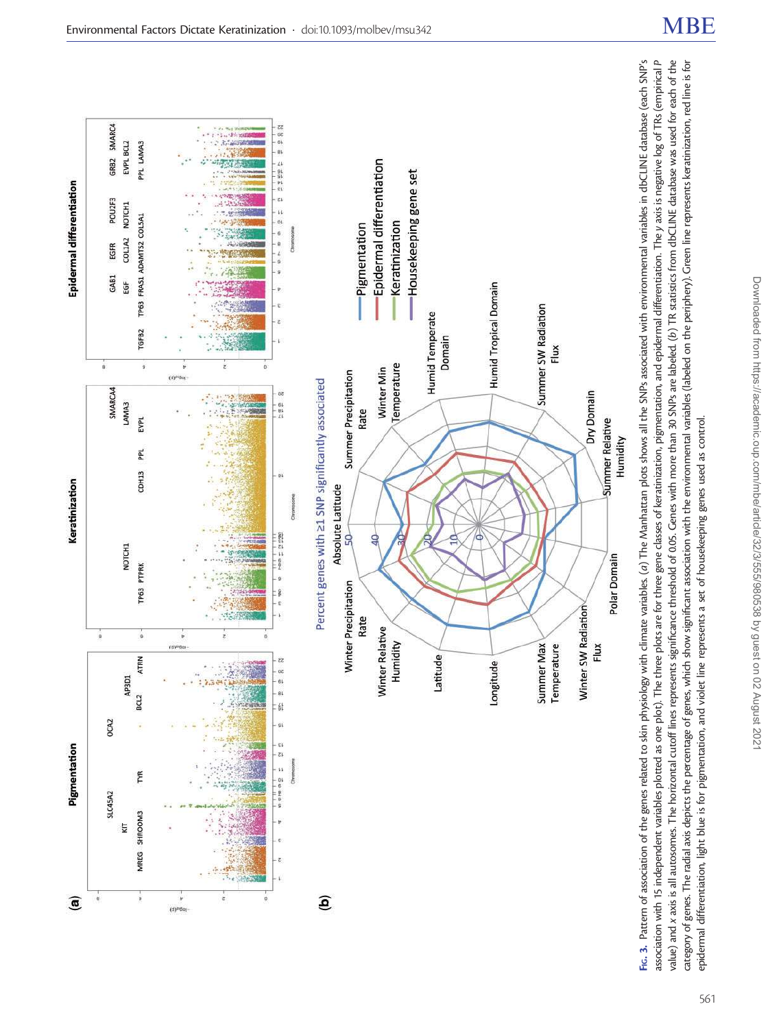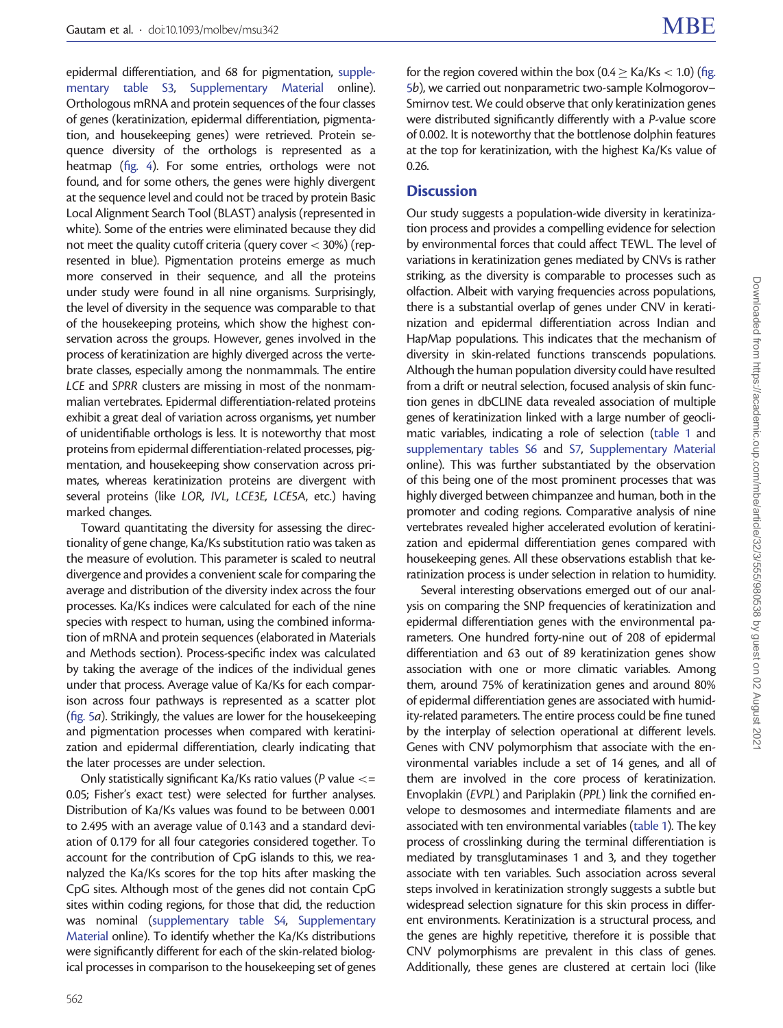epidermal differentiation, and 68 for pigmentation, supplementary table S3, Supplementary Material online). Orthologous mRNA and protein sequences of the four classes of genes (keratinization, epidermal differentiation, pigmentation, and housekeeping genes) were retrieved. Protein sequence diversity of the orthologs is represented as a heatmap (fig. 4). For some entries, orthologs were not found, and for some others, the genes were highly divergent at the sequence level and could not be traced by protein Basic Local Alignment Search Tool (BLAST) analysis (represented in white). Some of the entries were eliminated because they did not meet the quality cutoff criteria (query cover  $<$  30%) (represented in blue). Pigmentation proteins emerge as much more conserved in their sequence, and all the proteins under study were found in all nine organisms. Surprisingly, the level of diversity in the sequence was comparable to that of the housekeeping proteins, which show the highest conservation across the groups. However, genes involved in the process of keratinization are highly diverged across the vertebrate classes, especially among the nonmammals. The entire LCE and SPRR clusters are missing in most of the nonmammalian vertebrates. Epidermal differentiation-related proteins exhibit a great deal of variation across organisms, yet number of unidentifiable orthologs is less. It is noteworthy that most proteins from epidermal differentiation-related processes, pigmentation, and housekeeping show conservation across primates, whereas keratinization proteins are divergent with several proteins (like LOR, IVL, LCE3E, LCE5A, etc.) having marked changes.

Toward quantitating the diversity for assessing the directionality of gene change, Ka/Ks substitution ratio was taken as the measure of evolution. This parameter is scaled to neutral divergence and provides a convenient scale for comparing the average and distribution of the diversity index across the four processes. Ka/Ks indices were calculated for each of the nine species with respect to human, using the combined information of mRNA and protein sequences (elaborated in Materials and Methods section). Process-specific index was calculated by taking the average of the indices of the individual genes under that process. Average value of Ka/Ks for each comparison across four pathways is represented as a scatter plot (fig. 5a). Strikingly, the values are lower for the housekeeping and pigmentation processes when compared with keratinization and epidermal differentiation, clearly indicating that the later processes are under selection.

Only statistically significant Ka/Ks ratio values ( $P$  value  $\lt$  = 0.05; Fisher's exact test) were selected for further analyses. Distribution of Ka/Ks values was found to be between 0.001 to 2.495 with an average value of 0.143 and a standard deviation of 0.179 for all four categories considered together. To account for the contribution of CpG islands to this, we reanalyzed the Ka/Ks scores for the top hits after masking the CpG sites. Although most of the genes did not contain CpG sites within coding regions, for those that did, the reduction was nominal (supplementary table S4, Supplementary Material online). To identify whether the Ka/Ks distributions were significantly different for each of the skin-related biological processes in comparison to the housekeeping set of genes

for the region covered within the box  $(0.4 \geq$  Ka/Ks  $<$  1.0) (fig. 5b), we carried out nonparametric two-sample Kolmogorov– Smirnov test. We could observe that only keratinization genes were distributed significantly differently with a P-value score of 0.002. It is noteworthy that the bottlenose dolphin features at the top for keratinization, with the highest Ka/Ks value of 0.26.

## **Discussion**

Our study suggests a population-wide diversity in keratinization process and provides a compelling evidence for selection by environmental forces that could affect TEWL. The level of variations in keratinization genes mediated by CNVs is rather striking, as the diversity is comparable to processes such as olfaction. Albeit with varying frequencies across populations, there is a substantial overlap of genes under CNV in keratinization and epidermal differentiation across Indian and HapMap populations. This indicates that the mechanism of diversity in skin-related functions transcends populations. Although the human population diversity could have resulted from a drift or neutral selection, focused analysis of skin function genes in dbCLINE data revealed association of multiple genes of keratinization linked with a large number of geoclimatic variables, indicating a role of selection (table 1 and supplementary tables S6 and S7, Supplementary Material online). This was further substantiated by the observation of this being one of the most prominent processes that was highly diverged between chimpanzee and human, both in the promoter and coding regions. Comparative analysis of nine vertebrates revealed higher accelerated evolution of keratinization and epidermal differentiation genes compared with housekeeping genes. All these observations establish that keratinization process is under selection in relation to humidity.

Several interesting observations emerged out of our analysis on comparing the SNP frequencies of keratinization and epidermal differentiation genes with the environmental parameters. One hundred forty-nine out of 208 of epidermal differentiation and 63 out of 89 keratinization genes show association with one or more climatic variables. Among them, around 75% of keratinization genes and around 80% of epidermal differentiation genes are associated with humidity-related parameters. The entire process could be fine tuned by the interplay of selection operational at different levels. Genes with CNV polymorphism that associate with the environmental variables include a set of 14 genes, and all of them are involved in the core process of keratinization. Envoplakin (EVPL) and Pariplakin (PPL) link the cornified envelope to desmosomes and intermediate filaments and are associated with ten environmental variables (table 1). The key process of crosslinking during the terminal differentiation is mediated by transglutaminases 1 and 3, and they together associate with ten variables. Such association across several steps involved in keratinization strongly suggests a subtle but widespread selection signature for this skin process in different environments. Keratinization is a structural process, and the genes are highly repetitive, therefore it is possible that CNV polymorphisms are prevalent in this class of genes. Additionally, these genes are clustered at certain loci (like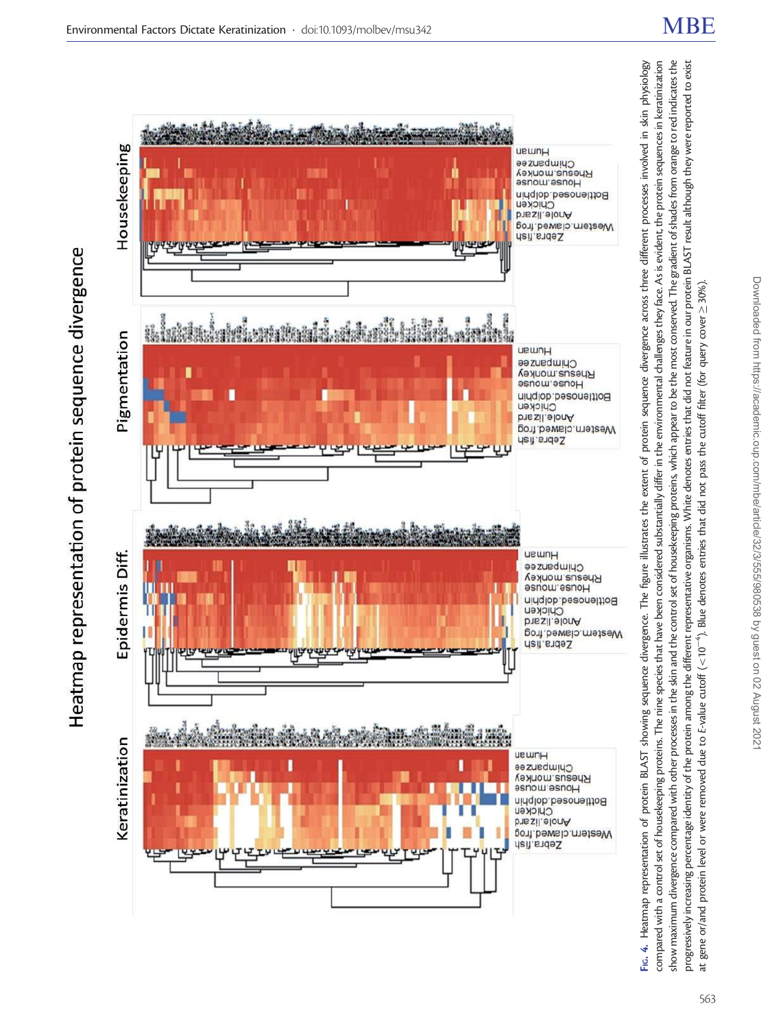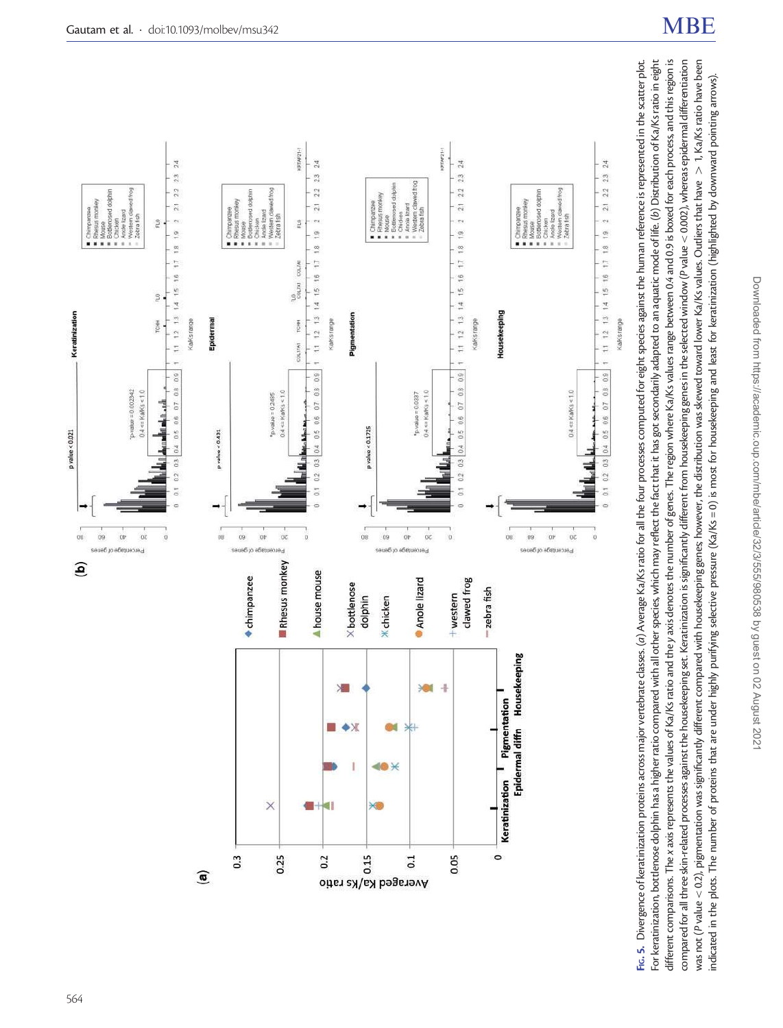

different comparisons. The x axis represents the values of Ka/Ks ratio and the y axis denotes the number of genes. The region where Ka/Ks values range between 0.4 and 0.9 is boxed for each process, and this region is different comparisons. The x axis represents the values of Ka/Ks ratio and the y axis denotes the number of genes. The region where Ka/Ks values range between 0.4 and 0.9 is boxed for each process, and this region is compared for all three skin-related processes against the housekeeping set. Keratinization is significantly different from housekeeping genes in the selected window (P value  $< 0.002$ ), whereas epidermal differentiation was not (P value  $<$  0.2), pigmentation was significantly different compared with housekeeping genes; however, the distribution was skewed toward lower Ka/Ks values. Outliers that have  $>1$ , Ka/Ks ratio have been compared for all three skin-related processes against the housekeeping set. Keratinization is significantly different from housekeeping genes in the selected window (P value  $<$  0.002), whereas epidermal differentiation was not (P value < 0.2), pigmentation was significantly different compared with housekeeping genes; however, the distribution was skewed toward lower Ka/Ks values. Outliers that have  $>1$ , Ka/Ks ratio have been contributed ndicated in the plots. The number of proteins that are under highly purifying selective pressure (Ka/Ks = 0) is most for housekeeping and least for keratinization (highlighted by downward pointing arrows). indicated in the plots. The number of proteins that are under highly purifying selective pressure (Ka/Ks = 0) is most for housekeeping and least for keratinization (highlighted by downward pointing arrows).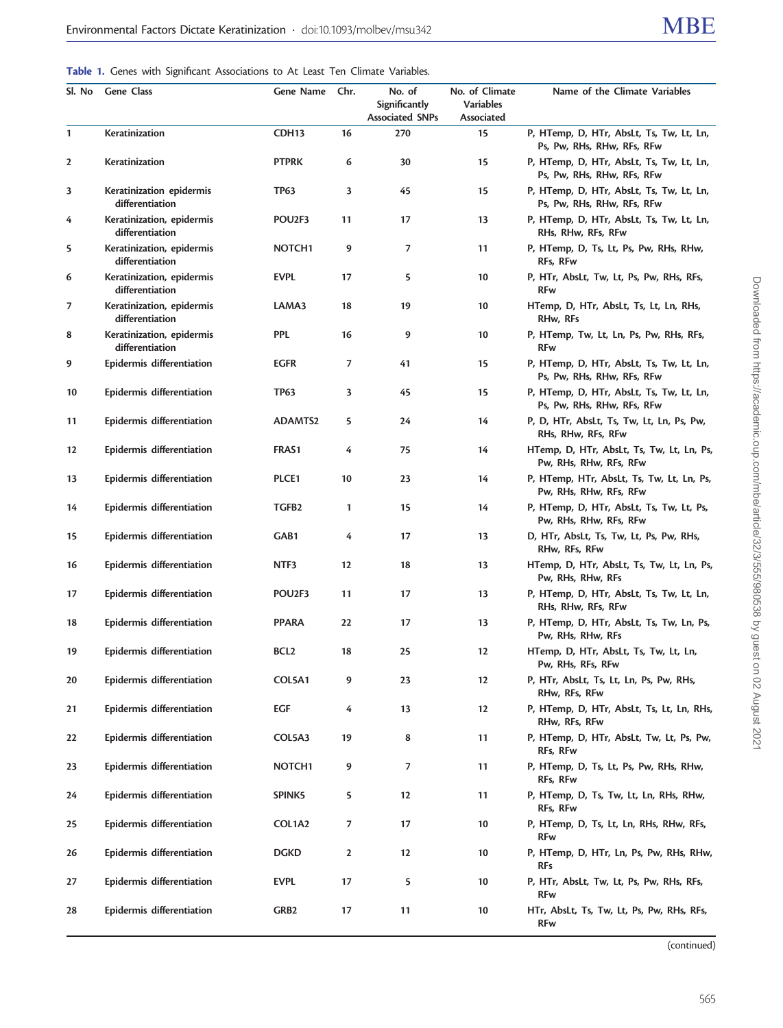|  |  |  |  |  | Table 1. Genes with Significant Associations to At Least Ten Climate Variables. |  |  |  |  |  |  |  |
|--|--|--|--|--|---------------------------------------------------------------------------------|--|--|--|--|--|--|--|
|--|--|--|--|--|---------------------------------------------------------------------------------|--|--|--|--|--|--|--|

| Sl. No       | <b>Gene Class</b>                            | Gene Name          | Chr.           | No. of<br>Significantly<br><b>Associated SNPs</b> | No. of Climate<br><b>Variables</b><br>Associated | Name of the Climate Variables                                          |
|--------------|----------------------------------------------|--------------------|----------------|---------------------------------------------------|--------------------------------------------------|------------------------------------------------------------------------|
| $\mathbf{1}$ | Keratinization                               | CDH <sub>13</sub>  | 16             | 270                                               | 15                                               | P, HTemp, D, HTr, AbsLt, Ts, Tw, Lt, Ln,<br>Ps, Pw, RHs, RHw, RFs, RFw |
| $\mathbf{2}$ | Keratinization                               | <b>PTPRK</b>       | 6              | 30                                                | 15                                               | P, HTemp, D, HTr, AbsLt, Ts, Tw, Lt, Ln,<br>Ps, Pw, RHs, RHw, RFs, RFw |
| 3            | Keratinization epidermis<br>differentiation  | TP63               | 3              | 45                                                | 15                                               | P, HTemp, D, HTr, AbsLt, Ts, Tw, Lt, Ln,<br>Ps, Pw, RHs, RHw, RFs, RFw |
| 4            | Keratinization, epidermis<br>differentiation | POU2F3             | 11             | 17                                                | 13                                               | P, HTemp, D, HTr, AbsLt, Ts, Tw, Lt, Ln,<br>RHs, RHw, RFs, RFw         |
| 5            | Keratinization, epidermis<br>differentiation | NOTCH <sub>1</sub> | 9              | 7                                                 | 11                                               | P, HTemp, D, Ts, Lt, Ps, Pw, RHs, RHw,<br>RFs, RFw                     |
| 6            | Keratinization, epidermis<br>differentiation | <b>EVPL</b>        | 17             | 5                                                 | 10                                               | P, HTr, AbsLt, Tw, Lt, Ps, Pw, RHs, RFs,<br><b>RFw</b>                 |
| 7            | Keratinization, epidermis<br>differentiation | LAMA3              | 18             | 19                                                | 10                                               | HTemp, D, HTr, AbsLt, Ts, Lt, Ln, RHs,<br>RHw, RFs                     |
| 8            | Keratinization, epidermis<br>differentiation | <b>PPL</b>         | 16             | 9                                                 | 10                                               | P, HTemp, Tw, Lt, Ln, Ps, Pw, RHs, RFs,<br><b>RFw</b>                  |
| 9            | Epidermis differentiation                    | <b>EGFR</b>        | 7              | 41                                                | 15                                               | P, HTemp, D, HTr, AbsLt, Ts, Tw, Lt, Ln,<br>Ps, Pw, RHs, RHw, RFs, RFw |
| 10           | Epidermis differentiation                    | <b>TP63</b>        | 3              | 45                                                | 15                                               | P, HTemp, D, HTr, AbsLt, Ts, Tw, Lt, Ln,<br>Ps, Pw, RHs, RHw, RFs, RFw |
| 11           | Epidermis differentiation                    | <b>ADAMTS2</b>     | 5              | 24                                                | 14                                               | P, D, HTr, AbsLt, Ts, Tw, Lt, Ln, Ps, Pw,<br>RHs, RHw, RFs, RFw        |
| 12           | Epidermis differentiation                    | FRAS1              | 4              | 75                                                | 14                                               | HTemp, D, HTr, AbsLt, Ts, Tw, Lt, Ln, Ps,<br>Pw, RHs, RHw, RFs, RFw    |
| 13           | Epidermis differentiation                    | PLCE1              | 10             | 23                                                | 14                                               | P, HTemp, HTr, AbsLt, Ts, Tw, Lt, Ln, Ps,<br>Pw, RHs, RHw, RFs, RFw    |
| 14           | Epidermis differentiation                    | TGFB <sub>2</sub>  | 1              | 15                                                | 14                                               | P, HTemp, D, HTr, AbsLt, Ts, Tw, Lt, Ps,<br>Pw, RHs, RHw, RFs, RFw     |
| 15           | Epidermis differentiation                    | GAB1               | 4              | 17                                                | 13                                               | D, HTr, AbsLt, Ts, Tw, Lt, Ps, Pw, RHs,<br>RHw, RFs, RFw               |
| 16           | Epidermis differentiation                    | NTF3               | 12             | 18                                                | 13                                               | HTemp, D, HTr, AbsLt, Ts, Tw, Lt, Ln, Ps,<br>Pw, RHs, RHw, RFs         |
| 17           | Epidermis differentiation                    | POU2F3             | 11             | 17                                                | 13                                               | P, HTemp, D, HTr, AbsLt, Ts, Tw, Lt, Ln,<br>RHs, RHw, RFs, RFw         |
| 18           | Epidermis differentiation                    | <b>PPARA</b>       | 22             | 17                                                | 13                                               | P, HTemp, D, HTr, AbsLt, Ts, Tw, Ln, Ps,<br>Pw, RHs, RHw, RFs          |
| 19           | Epidermis differentiation                    | BCL <sub>2</sub>   | 18             | 25                                                | 12                                               | HTemp, D, HTr, AbsLt, Ts, Tw, Lt, Ln,<br>Pw, RHs, RFs, RFw             |
| 20           | Epidermis differentiation                    | COL5A1             | 9              | 23                                                | 12                                               | P, HTr, AbsLt, Ts, Lt, Ln, Ps, Pw, RHs,<br>RHw, RFs, RFw               |
| 21           | Epidermis differentiation                    | EGF                | 4              | 13                                                | 12                                               | P, HTemp, D, HTr, AbsLt, Ts, Lt, Ln, RHs,<br>RHw, RFs, RFw             |
| 22           | Epidermis differentiation                    | COL5A3             | 19             | 8                                                 | 11                                               | P, HTemp, D, HTr, AbsLt, Tw, Lt, Ps, Pw,<br>RFs, RFw                   |
| 23           | Epidermis differentiation                    | NOTCH <sub>1</sub> | 9              | 7                                                 | 11                                               | P, HTemp, D, Ts, Lt, Ps, Pw, RHs, RHw,<br>RFs, RFw                     |
| 24           | Epidermis differentiation                    | SPINK5             | 5              | 12                                                | 11                                               | P, HTemp, D, Ts, Tw, Lt, Ln, RHs, RHw,<br>RFs, RFw                     |
| 25           | Epidermis differentiation                    | COL1A2             | 7              | 17                                                | 10                                               | P, HTemp, D, Ts, Lt, Ln, RHs, RHw, RFs,<br><b>RFw</b>                  |
| 26           | Epidermis differentiation                    | <b>DGKD</b>        | $\overline{2}$ | 12                                                | 10                                               | P, HTemp, D, HTr, Ln, Ps, Pw, RHs, RHw,<br>RFs                         |
| 27           | Epidermis differentiation                    | <b>EVPL</b>        | 17             | 5                                                 | 10                                               | P, HTr, AbsLt, Tw, Lt, Ps, Pw, RHs, RFs,<br><b>RFw</b>                 |
| 28           | Epidermis differentiation                    | GRB <sub>2</sub>   | 17             | 11                                                | 10                                               | HTr, AbsLt, Ts, Tw, Lt, Ps, Pw, RHs, RFs,<br>RFw                       |

(continued)

Downloaded from https://academic.oup.com/mbe/article/32/3/555/980538 by guest on 02 August 2021 Downloaded from https://academic.oup.com/mbe/article/32/3/555/980538 by guest on 02 August 2021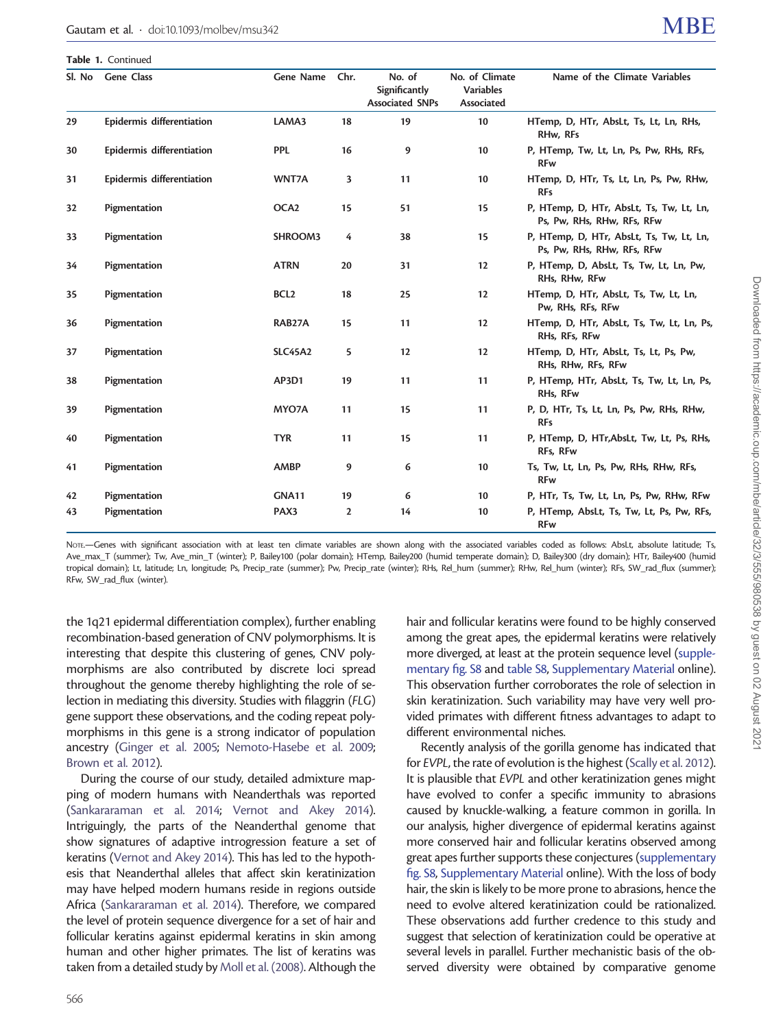Table 1. Continued

| Sl. No | <b>Gene Class</b>         | Gene Name           | Chr.         | No. of<br>Significantly<br><b>Associated SNPs</b> | No. of Climate<br><b>Variables</b><br>Associated | Name of the Climate Variables                                          |
|--------|---------------------------|---------------------|--------------|---------------------------------------------------|--------------------------------------------------|------------------------------------------------------------------------|
| 29     | Epidermis differentiation | LAMA3               | 18           | 19                                                | 10                                               | HTemp, D, HTr, AbsLt, Ts, Lt, Ln, RHs,<br>RHw, RFs                     |
| 30     | Epidermis differentiation | <b>PPL</b>          | 16           | 9                                                 | 10                                               | P, HTemp, Tw, Lt, Ln, Ps, Pw, RHs, RFs,<br><b>RFw</b>                  |
| 31     | Epidermis differentiation | WNT7A               | 3            | 11                                                | 10                                               | HTemp, D, HTr, Ts, Lt, Ln, Ps, Pw, RHw,<br><b>RFs</b>                  |
| 32     | Pigmentation              | OCA <sub>2</sub>    | 15           | 51                                                | 15                                               | P, HTemp, D, HTr, AbsLt, Ts, Tw, Lt, Ln,<br>Ps, Pw, RHs, RHw, RFs, RFw |
| 33     | Pigmentation              | SHROOM3             | 4            | 38                                                | 15                                               | P, HTemp, D, HTr, AbsLt, Ts, Tw, Lt, Ln,<br>Ps, Pw, RHs, RHw, RFs, RFw |
| 34     | Pigmentation              | <b>ATRN</b>         | 20           | 31                                                | 12                                               | P, HTemp, D, AbsLt, Ts, Tw, Lt, Ln, Pw,<br>RHs, RHw, RFw               |
| 35     | Pigmentation              | BCL <sub>2</sub>    | 18           | 25                                                | 12                                               | HTemp, D, HTr, AbsLt, Ts, Tw, Lt, Ln,<br>Pw, RHs, RFs, RFw             |
| 36     | Pigmentation              | RAB <sub>27</sub> A | 15           | 11                                                | 12                                               | HTemp, D, HTr, AbsLt, Ts, Tw, Lt, Ln, Ps,<br>RHs, RFs, RFw             |
| 37     | Pigmentation              | <b>SLC45A2</b>      | 5            | 12                                                | 12                                               | HTemp, D, HTr, AbsLt, Ts, Lt, Ps, Pw,<br>RHs, RHw, RFs, RFw            |
| 38     | Pigmentation              | AP3D1               | 19           | 11                                                | 11                                               | P, HTemp, HTr, AbsLt, Ts, Tw, Lt, Ln, Ps,<br>RHs, RFw                  |
| 39     | Pigmentation              | MYO7A               | 11           | 15                                                | 11                                               | P, D, HTr, Ts, Lt, Ln, Ps, Pw, RHs, RHw,<br><b>RFs</b>                 |
| 40     | Pigmentation              | <b>TYR</b>          | 11           | 15                                                | 11                                               | P, HTemp, D, HTr, AbsLt, Tw, Lt, Ps, RHs,<br>RFs, RFw                  |
| 41     | Pigmentation              | <b>AMBP</b>         | 9            | 6                                                 | 10                                               | Ts, Tw, Lt, Ln, Ps, Pw, RHs, RHw, RFs,<br><b>RFw</b>                   |
| 42     | Pigmentation              | GNA11               | 19           | 6                                                 | 10                                               | P, HTr, Ts, Tw, Lt, Ln, Ps, Pw, RHw, RFw                               |
| 43     | Pigmentation              | PAX <sub>3</sub>    | $\mathbf{2}$ | 14                                                | 10                                               | P, HTemp, AbsLt, Ts, Tw, Lt, Ps, Pw, RFs,<br><b>RFw</b>                |

NOTE-Genes with significant association with at least ten climate variables are shown along with the associated variables coded as follows: AbsLt, absolute latitude; Ts, Ave\_max\_T (summer); Tw, Ave\_min\_T (winter); P, Bailey100 (polar domain); HTemp, Bailey200 (humid temperate domain); D, Bailey300 (dry domain); HTr, Bailey400 (humid tropical domain); Lt, latitude; Ln, longitude; Ps, Precip\_rate (summer); Pw, Precip\_rate (winter); RHs, Rel\_hum (summer); RHw, Rel\_hum (winter); RFs, SW\_rad\_flux (summer); RFw, SW\_rad\_flux (winter).

the 1q21 epidermal differentiation complex), further enabling recombination-based generation of CNV polymorphisms. It is interesting that despite this clustering of genes, CNV polymorphisms are also contributed by discrete loci spread throughout the genome thereby highlighting the role of selection in mediating this diversity. Studies with filaggrin (FLG) gene support these observations, and the coding repeat polymorphisms in this gene is a strong indicator of population ancestry (Ginger et al. 2005; Nemoto-Hasebe et al. 2009; Brown et al. 2012).

During the course of our study, detailed admixture mapping of modern humans with Neanderthals was reported (Sankararaman et al. 2014; Vernot and Akey 2014). Intriguingly, the parts of the Neanderthal genome that show signatures of adaptive introgression feature a set of keratins (Vernot and Akey 2014). This has led to the hypothesis that Neanderthal alleles that affect skin keratinization may have helped modern humans reside in regions outside Africa (Sankararaman et al. 2014). Therefore, we compared the level of protein sequence divergence for a set of hair and follicular keratins against epidermal keratins in skin among human and other higher primates. The list of keratins was taken from a detailed study by Moll et al. (2008). Although the

hair and follicular keratins were found to be highly conserved among the great apes, the epidermal keratins were relatively more diverged, at least at the protein sequence level (supplementary fig. S8 and table S8, Supplementary Material online). This observation further corroborates the role of selection in skin keratinization. Such variability may have very well provided primates with different fitness advantages to adapt to different environmental niches.

Recently analysis of the gorilla genome has indicated that for EVPL, the rate of evolution is the highest (Scally et al. 2012). It is plausible that EVPL and other keratinization genes might have evolved to confer a specific immunity to abrasions caused by knuckle-walking, a feature common in gorilla. In our analysis, higher divergence of epidermal keratins against more conserved hair and follicular keratins observed among great apes further supports these conjectures (supplementary fig. S8, Supplementary Material online). With the loss of body hair, the skin is likely to be more prone to abrasions, hence the need to evolve altered keratinization could be rationalized. These observations add further credence to this study and suggest that selection of keratinization could be operative at several levels in parallel. Further mechanistic basis of the observed diversity were obtained by comparative genome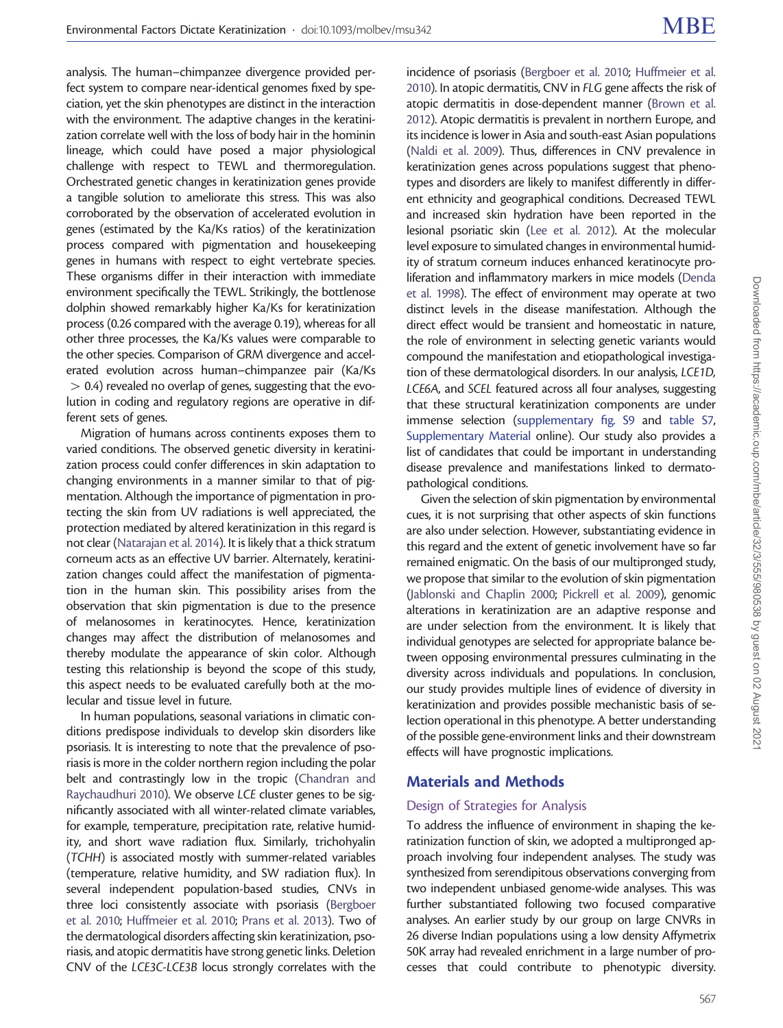analysis. The human–chimpanzee divergence provided perfect system to compare near-identical genomes fixed by speciation, yet the skin phenotypes are distinct in the interaction with the environment. The adaptive changes in the keratinization correlate well with the loss of body hair in the hominin lineage, which could have posed a major physiological challenge with respect to TEWL and thermoregulation. Orchestrated genetic changes in keratinization genes provide a tangible solution to ameliorate this stress. This was also corroborated by the observation of accelerated evolution in genes (estimated by the Ka/Ks ratios) of the keratinization process compared with pigmentation and housekeeping genes in humans with respect to eight vertebrate species. These organisms differ in their interaction with immediate environment specifically the TEWL. Strikingly, the bottlenose dolphin showed remarkably higher Ka/Ks for keratinization process (0.26 compared with the average 0.19), whereas for all other three processes, the Ka/Ks values were comparable to the other species. Comparison of GRM divergence and accelerated evolution across human–chimpanzee pair (Ka/Ks  $> 0.4$ ) revealed no overlap of genes, suggesting that the evolution in coding and regulatory regions are operative in different sets of genes.

Migration of humans across continents exposes them to varied conditions. The observed genetic diversity in keratinization process could confer differences in skin adaptation to changing environments in a manner similar to that of pigmentation. Although the importance of pigmentation in protecting the skin from UV radiations is well appreciated, the protection mediated by altered keratinization in this regard is not clear (Natarajan et al. 2014). It is likely that a thick stratum corneum acts as an effective UV barrier. Alternately, keratinization changes could affect the manifestation of pigmentation in the human skin. This possibility arises from the observation that skin pigmentation is due to the presence of melanosomes in keratinocytes. Hence, keratinization changes may affect the distribution of melanosomes and thereby modulate the appearance of skin color. Although testing this relationship is beyond the scope of this study, this aspect needs to be evaluated carefully both at the molecular and tissue level in future.

In human populations, seasonal variations in climatic conditions predispose individuals to develop skin disorders like psoriasis. It is interesting to note that the prevalence of psoriasis is more in the colder northern region including the polar belt and contrastingly low in the tropic (Chandran and Raychaudhuri 2010). We observe LCE cluster genes to be significantly associated with all winter-related climate variables, for example, temperature, precipitation rate, relative humidity, and short wave radiation flux. Similarly, trichohyalin (TCHH) is associated mostly with summer-related variables (temperature, relative humidity, and SW radiation flux). In several independent population-based studies, CNVs in three loci consistently associate with psoriasis (Bergboer et al. 2010; Huffmeier et al. 2010; Prans et al. 2013). Two of the dermatological disorders affecting skin keratinization, psoriasis, and atopic dermatitis have strong genetic links. Deletion CNV of the LCE3C-LCE3B locus strongly correlates with the

incidence of psoriasis (Bergboer et al. 2010; Huffmeier et al. 2010). In atopic dermatitis, CNV in FLG gene affects the risk of atopic dermatitis in dose-dependent manner (Brown et al. 2012). Atopic dermatitis is prevalent in northern Europe, and its incidence is lower in Asia and south-east Asian populations (Naldi et al. 2009). Thus, differences in CNV prevalence in keratinization genes across populations suggest that phenotypes and disorders are likely to manifest differently in different ethnicity and geographical conditions. Decreased TEWL and increased skin hydration have been reported in the lesional psoriatic skin (Lee et al. 2012). At the molecular level exposure to simulated changes in environmental humidity of stratum corneum induces enhanced keratinocyte proliferation and inflammatory markers in mice models (Denda et al. 1998). The effect of environment may operate at two distinct levels in the disease manifestation. Although the direct effect would be transient and homeostatic in nature, the role of environment in selecting genetic variants would compound the manifestation and etiopathological investigation of these dermatological disorders. In our analysis, LCE1D, LCE6A, and SCEL featured across all four analyses, suggesting that these structural keratinization components are under immense selection (supplementary fig. S9 and table S7, Supplementary Material online). Our study also provides a list of candidates that could be important in understanding disease prevalence and manifestations linked to dermatopathological conditions.

Given the selection of skin pigmentation by environmental cues, it is not surprising that other aspects of skin functions are also under selection. However, substantiating evidence in this regard and the extent of genetic involvement have so far remained enigmatic. On the basis of our multipronged study, we propose that similar to the evolution of skin pigmentation (Jablonski and Chaplin 2000; Pickrell et al. 2009), genomic alterations in keratinization are an adaptive response and are under selection from the environment. It is likely that individual genotypes are selected for appropriate balance between opposing environmental pressures culminating in the diversity across individuals and populations. In conclusion, our study provides multiple lines of evidence of diversity in keratinization and provides possible mechanistic basis of selection operational in this phenotype. A better understanding of the possible gene-environment links and their downstream effects will have prognostic implications.

# Materials and Methods

#### Design of Strategies for Analysis

To address the influence of environment in shaping the keratinization function of skin, we adopted a multipronged approach involving four independent analyses. The study was synthesized from serendipitous observations converging from two independent unbiased genome-wide analyses. This was further substantiated following two focused comparative analyses. An earlier study by our group on large CNVRs in 26 diverse Indian populations using a low density Affymetrix 50K array had revealed enrichment in a large number of processes that could contribute to phenotypic diversity.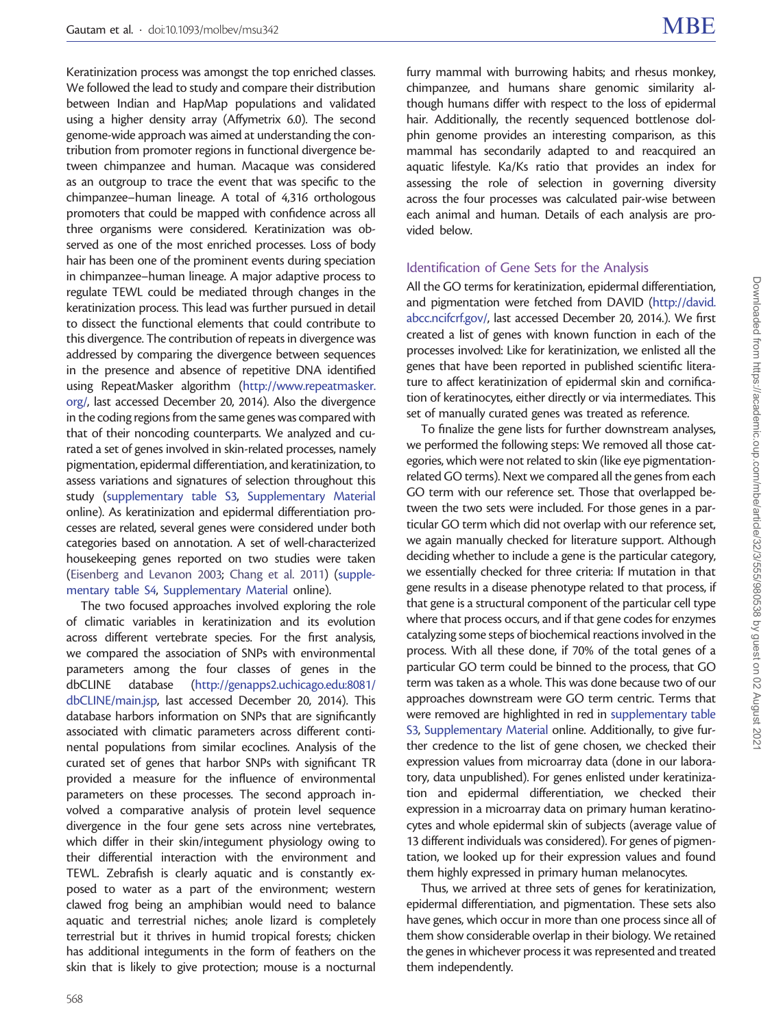Keratinization process was amongst the top enriched classes. We followed the lead to study and compare their distribution between Indian and HapMap populations and validated using a higher density array (Affymetrix 6.0). The second genome-wide approach was aimed at understanding the contribution from promoter regions in functional divergence between chimpanzee and human. Macaque was considered as an outgroup to trace the event that was specific to the chimpanzee–human lineage. A total of 4,316 orthologous promoters that could be mapped with confidence across all three organisms were considered. Keratinization was observed as one of the most enriched processes. Loss of body hair has been one of the prominent events during speciation in chimpanzee–human lineage. A major adaptive process to regulate TEWL could be mediated through changes in the keratinization process. This lead was further pursued in detail to dissect the functional elements that could contribute to this divergence. The contribution of repeats in divergence was addressed by comparing the divergence between sequences in the presence and absence of repetitive DNA identified using RepeatMasker algorithm (http://www.repeatmasker. org/, last accessed December 20, 2014). Also the divergence in the coding regions from the same genes was compared with that of their noncoding counterparts. We analyzed and curated a set of genes involved in skin-related processes, namely pigmentation, epidermal differentiation, and keratinization, to assess variations and signatures of selection throughout this study (supplementary table S3, Supplementary Material online). As keratinization and epidermal differentiation processes are related, several genes were considered under both categories based on annotation. A set of well-characterized housekeeping genes reported on two studies were taken (Eisenberg and Levanon 2003; Chang et al. 2011) (supplementary table S4, Supplementary Material online).

The two focused approaches involved exploring the role of climatic variables in keratinization and its evolution across different vertebrate species. For the first analysis, we compared the association of SNPs with environmental parameters among the four classes of genes in the dbCLINE database (http://genapps2.uchicago.edu:8081/ dbCLINE/main.jsp, last accessed December 20, 2014). This database harbors information on SNPs that are significantly associated with climatic parameters across different continental populations from similar ecoclines. Analysis of the curated set of genes that harbor SNPs with significant TR provided a measure for the influence of environmental parameters on these processes. The second approach involved a comparative analysis of protein level sequence divergence in the four gene sets across nine vertebrates, which differ in their skin/integument physiology owing to their differential interaction with the environment and TEWL. Zebrafish is clearly aquatic and is constantly exposed to water as a part of the environment; western clawed frog being an amphibian would need to balance aquatic and terrestrial niches; anole lizard is completely terrestrial but it thrives in humid tropical forests; chicken has additional integuments in the form of feathers on the skin that is likely to give protection; mouse is a nocturnal

furry mammal with burrowing habits; and rhesus monkey, chimpanzee, and humans share genomic similarity although humans differ with respect to the loss of epidermal hair. Additionally, the recently sequenced bottlenose dolphin genome provides an interesting comparison, as this mammal has secondarily adapted to and reacquired an aquatic lifestyle. Ka/Ks ratio that provides an index for assessing the role of selection in governing diversity across the four processes was calculated pair-wise between each animal and human. Details of each analysis are provided below.

#### Identification of Gene Sets for the Analysis

All the GO terms for keratinization, epidermal differentiation, and pigmentation were fetched from DAVID (http://david. abcc.ncifcrf.gov/, last accessed December 20, 2014.). We first created a list of genes with known function in each of the processes involved: Like for keratinization, we enlisted all the genes that have been reported in published scientific literature to affect keratinization of epidermal skin and cornification of keratinocytes, either directly or via intermediates. This set of manually curated genes was treated as reference.

To finalize the gene lists for further downstream analyses, we performed the following steps: We removed all those categories, which were not related to skin (like eye pigmentationrelated GO terms). Next we compared all the genes from each GO term with our reference set. Those that overlapped between the two sets were included. For those genes in a particular GO term which did not overlap with our reference set, we again manually checked for literature support. Although deciding whether to include a gene is the particular category, we essentially checked for three criteria: If mutation in that gene results in a disease phenotype related to that process, if that gene is a structural component of the particular cell type where that process occurs, and if that gene codes for enzymes catalyzing some steps of biochemical reactions involved in the process. With all these done, if 70% of the total genes of a particular GO term could be binned to the process, that GO term was taken as a whole. This was done because two of our approaches downstream were GO term centric. Terms that were removed are highlighted in red in supplementary table S3, Supplementary Material online. Additionally, to give further credence to the list of gene chosen, we checked their expression values from microarray data (done in our laboratory, data unpublished). For genes enlisted under keratinization and epidermal differentiation, we checked their expression in a microarray data on primary human keratinocytes and whole epidermal skin of subjects (average value of 13 different individuals was considered). For genes of pigmentation, we looked up for their expression values and found them highly expressed in primary human melanocytes.

Thus, we arrived at three sets of genes for keratinization, epidermal differentiation, and pigmentation. These sets also have genes, which occur in more than one process since all of them show considerable overlap in their biology. We retained the genes in whichever process it was represented and treated them independently.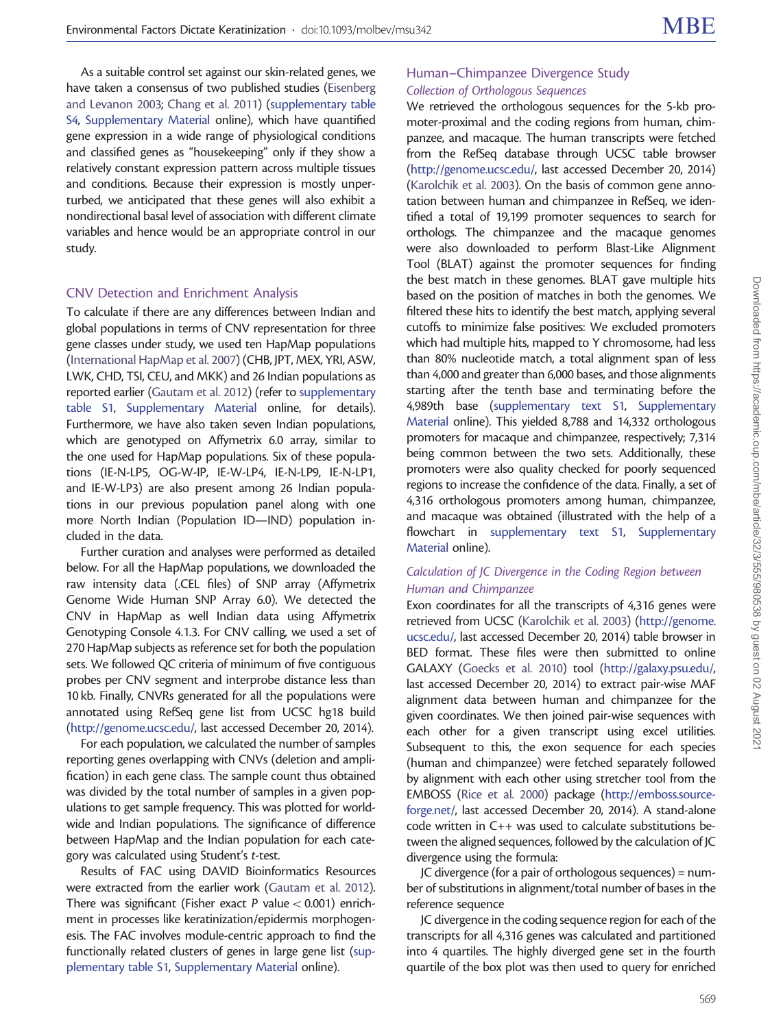As a suitable control set against our skin-related genes, we have taken a consensus of two published studies (Eisenberg and Levanon 2003; Chang et al. 2011) (supplementary table S4, Supplementary Material online), which have quantified gene expression in a wide range of physiological conditions and classified genes as "housekeeping" only if they show a relatively constant expression pattern across multiple tissues and conditions. Because their expression is mostly unperturbed, we anticipated that these genes will also exhibit a nondirectional basal level of association with different climate variables and hence would be an appropriate control in our study.

#### CNV Detection and Enrichment Analysis

To calculate if there are any differences between Indian and global populations in terms of CNV representation for three gene classes under study, we used ten HapMap populations (International HapMap et al. 2007) (CHB, JPT, MEX, YRI, ASW, LWK, CHD, TSI, CEU, and MKK) and 26 Indian populations as reported earlier (Gautam et al. 2012) (refer to supplementary table S1, Supplementary Material online, for details). Furthermore, we have also taken seven Indian populations, which are genotyped on Affymetrix 6.0 array, similar to the one used for HapMap populations. Six of these populations (IE-N-LP5, OG-W-IP, IE-W-LP4, IE-N-LP9, IE-N-LP1, and IE-W-LP3) are also present among 26 Indian populations in our previous population panel along with one more North Indian (Population ID—IND) population included in the data.

Further curation and analyses were performed as detailed below. For all the HapMap populations, we downloaded the raw intensity data (.CEL files) of SNP array (Affymetrix Genome Wide Human SNP Array 6.0). We detected the CNV in HapMap as well Indian data using Affymetrix Genotyping Console 4.1.3. For CNV calling, we used a set of 270 HapMap subjects as reference set for both the population sets. We followed QC criteria of minimum of five contiguous probes per CNV segment and interprobe distance less than 10 kb. Finally, CNVRs generated for all the populations were annotated using RefSeq gene list from UCSC hg18 build (http://genome.ucsc.edu/, last accessed December 20, 2014).

For each population, we calculated the number of samples reporting genes overlapping with CNVs (deletion and amplification) in each gene class. The sample count thus obtained was divided by the total number of samples in a given populations to get sample frequency. This was plotted for worldwide and Indian populations. The significance of difference between HapMap and the Indian population for each category was calculated using Student's t-test.

Results of FAC using DAVID Bioinformatics Resources were extracted from the earlier work (Gautam et al. 2012). There was significant (Fisher exact P value  $< 0.001$ ) enrichment in processes like keratinization/epidermis morphogenesis. The FAC involves module-centric approach to find the functionally related clusters of genes in large gene list (supplementary table S1, Supplementary Material online).

## Human–Chimpanzee Divergence Study Collection of Orthologous Sequences

We retrieved the orthologous sequences for the 5-kb promoter-proximal and the coding regions from human, chimpanzee, and macaque. The human transcripts were fetched from the RefSeq database through UCSC table browser (http://genome.ucsc.edu/, last accessed December 20, 2014) (Karolchik et al. 2003). On the basis of common gene annotation between human and chimpanzee in RefSeq, we identified a total of 19,199 promoter sequences to search for orthologs. The chimpanzee and the macaque genomes were also downloaded to perform Blast-Like Alignment Tool (BLAT) against the promoter sequences for finding the best match in these genomes. BLAT gave multiple hits based on the position of matches in both the genomes. We filtered these hits to identify the best match, applying several cutoffs to minimize false positives: We excluded promoters which had multiple hits, mapped to Y chromosome, had less than 80% nucleotide match, a total alignment span of less than 4,000 and greater than 6,000 bases, and those alignments starting after the tenth base and terminating before the 4,989th base (supplementary text S1, Supplementary Material online). This yielded 8,788 and 14,332 orthologous promoters for macaque and chimpanzee, respectively; 7,314 being common between the two sets. Additionally, these promoters were also quality checked for poorly sequenced regions to increase the confidence of the data. Finally, a set of 4,316 orthologous promoters among human, chimpanzee, and macaque was obtained (illustrated with the help of a flowchart in supplementary text S1, Supplementary Material online).

# Calculation of JC Divergence in the Coding Region between Human and Chimpanzee

Exon coordinates for all the transcripts of 4,316 genes were retrieved from UCSC (Karolchik et al. 2003) (http://genome. ucsc.edu/, last accessed December 20, 2014) table browser in BED format. These files were then submitted to online GALAXY (Goecks et al. 2010) tool (http://galaxy.psu.edu/, last accessed December 20, 2014) to extract pair-wise MAF alignment data between human and chimpanzee for the given coordinates. We then joined pair-wise sequences with each other for a given transcript using excel utilities. Subsequent to this, the exon sequence for each species (human and chimpanzee) were fetched separately followed by alignment with each other using stretcher tool from the EMBOSS (Rice et al. 2000) package (http://emboss.sourceforge.net/, last accessed December 20, 2014). A stand-alone code written in C++ was used to calculate substitutions between the aligned sequences, followed by the calculation of JC divergence using the formula:

JC divergence (for a pair of orthologous sequences) = number of substitutions in alignment/total number of bases in the reference sequence

JC divergence in the coding sequence region for each of the transcripts for all 4,316 genes was calculated and partitioned into 4 quartiles. The highly diverged gene set in the fourth quartile of the box plot was then used to query for enriched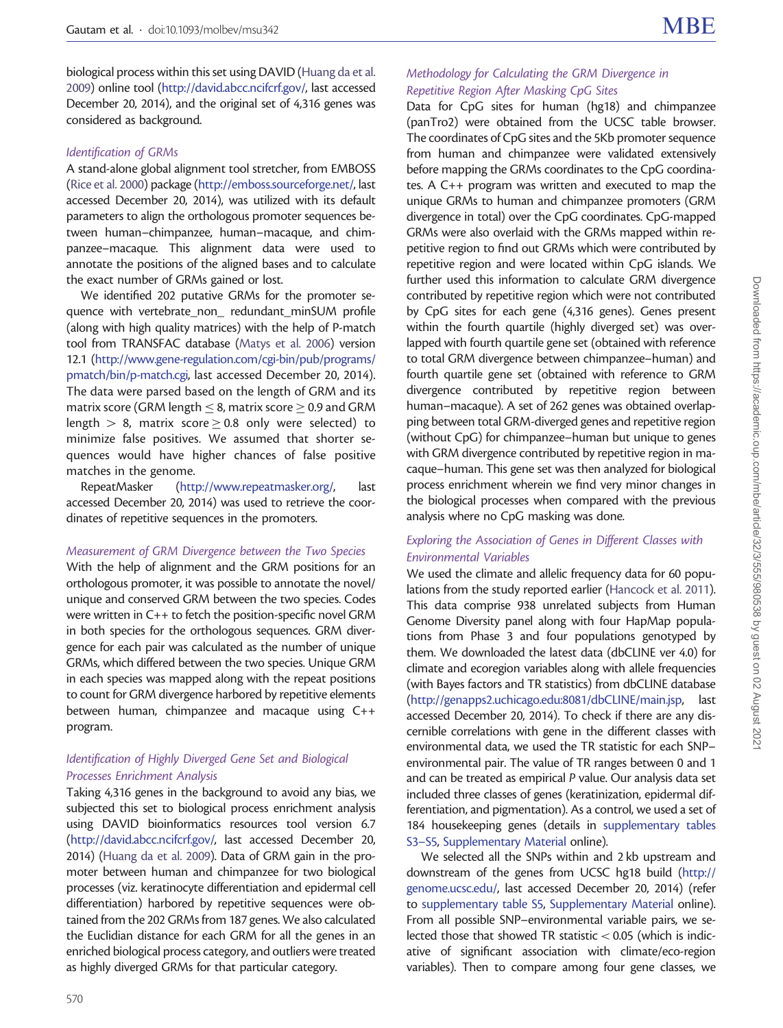biological process within this set using DAVID (Huang da et al. 2009) online tool (http://david.abcc.ncifcrf.gov/, last accessed December 20, 2014), and the original set of 4,316 genes was considered as background.

#### Identification of GRMs

A stand-alone global alignment tool stretcher, from EMBOSS (Rice et al. 2000) package (http://emboss.sourceforge.net/, last accessed December 20, 2014), was utilized with its default parameters to align the orthologous promoter sequences between human–chimpanzee, human–macaque, and chimpanzee–macaque. This alignment data were used to annotate the positions of the aligned bases and to calculate the exact number of GRMs gained or lost.

We identified 202 putative GRMs for the promoter sequence with vertebrate non redundant minSUM profile (along with high quality matrices) with the help of P-match tool from TRANSFAC database (Matys et al. 2006) version 12.1 (http://www.gene-regulation.com/cgi-bin/pub/programs/ pmatch/bin/p-match.cgi, last accessed December 20, 2014). The data were parsed based on the length of GRM and its matrix score (GRM length  $\leq$  8, matrix score  $\geq$  0.9 and GRM length  $> 8$ , matrix score  $\geq$  0.8 only were selected) to minimize false positives. We assumed that shorter sequences would have higher chances of false positive matches in the genome.

RepeatMasker (http://www.repeatmasker.org/, last accessed December 20, 2014) was used to retrieve the coordinates of repetitive sequences in the promoters.

#### Measurement of GRM Divergence between the Two Species

With the help of alignment and the GRM positions for an orthologous promoter, it was possible to annotate the novel/ unique and conserved GRM between the two species. Codes were written in C++ to fetch the position-specific novel GRM in both species for the orthologous sequences. GRM divergence for each pair was calculated as the number of unique GRMs, which differed between the two species. Unique GRM in each species was mapped along with the repeat positions to count for GRM divergence harbored by repetitive elements between human, chimpanzee and macaque using C++ program.

# Identification of Highly Diverged Gene Set and Biological Processes Enrichment Analysis

Taking 4,316 genes in the background to avoid any bias, we subjected this set to biological process enrichment analysis using DAVID bioinformatics resources tool version 6.7 (http://david.abcc.ncifcrf.gov/, last accessed December 20, 2014) (Huang da et al. 2009). Data of GRM gain in the promoter between human and chimpanzee for two biological processes (viz. keratinocyte differentiation and epidermal cell differentiation) harbored by repetitive sequences were obtained from the 202 GRMs from 187 genes. We also calculated the Euclidian distance for each GRM for all the genes in an enriched biological process category, and outliers were treated as highly diverged GRMs for that particular category.

# Methodology for Calculating the GRM Divergence in Repetitive Region After Masking CpG Sites

Data for CpG sites for human (hg18) and chimpanzee (panTro2) were obtained from the UCSC table browser. The coordinates of CpG sites and the 5Kb promoter sequence from human and chimpanzee were validated extensively before mapping the GRMs coordinates to the CpG coordinates. A C++ program was written and executed to map the unique GRMs to human and chimpanzee promoters (GRM divergence in total) over the CpG coordinates. CpG-mapped GRMs were also overlaid with the GRMs mapped within repetitive region to find out GRMs which were contributed by repetitive region and were located within CpG islands. We further used this information to calculate GRM divergence contributed by repetitive region which were not contributed by CpG sites for each gene (4,316 genes). Genes present within the fourth quartile (highly diverged set) was overlapped with fourth quartile gene set (obtained with reference to total GRM divergence between chimpanzee–human) and fourth quartile gene set (obtained with reference to GRM divergence contributed by repetitive region between human–macaque). A set of 262 genes was obtained overlapping between total GRM-diverged genes and repetitive region (without CpG) for chimpanzee–human but unique to genes with GRM divergence contributed by repetitive region in macaque–human. This gene set was then analyzed for biological process enrichment wherein we find very minor changes in the biological processes when compared with the previous analysis where no CpG masking was done.

# Exploring the Association of Genes in Different Classes with Environmental Variables

We used the climate and allelic frequency data for 60 populations from the study reported earlier (Hancock et al. 2011). This data comprise 938 unrelated subjects from Human Genome Diversity panel along with four HapMap populations from Phase 3 and four populations genotyped by them. We downloaded the latest data (dbCLINE ver 4.0) for climate and ecoregion variables along with allele frequencies (with Bayes factors and TR statistics) from dbCLINE database (http://genapps2.uchicago.edu:8081/dbCLINE/main.jsp, last accessed December 20, 2014). To check if there are any discernible correlations with gene in the different classes with environmental data, we used the TR statistic for each SNP– environmental pair. The value of TR ranges between 0 and 1 and can be treated as empirical P value. Our analysis data set included three classes of genes (keratinization, epidermal differentiation, and pigmentation). As a control, we used a set of 184 housekeeping genes (details in supplementary tables S3–S5, Supplementary Material online).

We selected all the SNPs within and 2 kb upstream and downstream of the genes from UCSC hg18 build (http:// genome.ucsc.edu/, last accessed December 20, 2014) (refer to supplementary table S5, Supplementary Material online). From all possible SNP–environmental variable pairs, we selected those that showed TR statistic  $< 0.05$  (which is indicative of significant association with climate/eco-region variables). Then to compare among four gene classes, we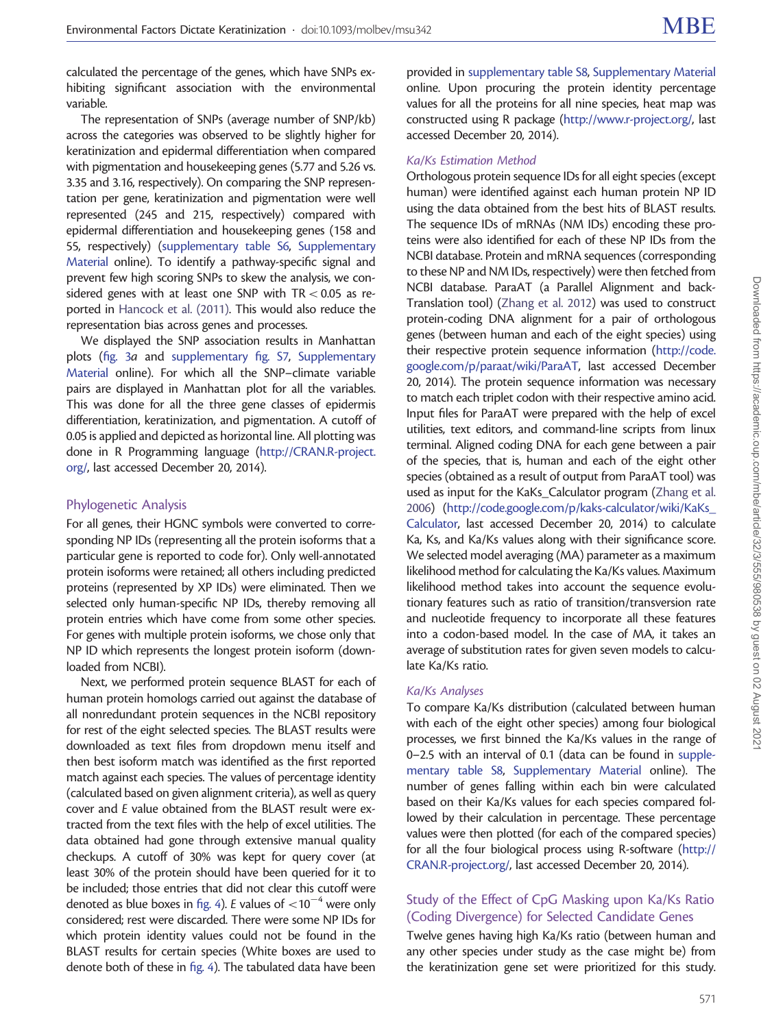calculated the percentage of the genes, which have SNPs exhibiting significant association with the environmental variable.

The representation of SNPs (average number of SNP/kb) across the categories was observed to be slightly higher for keratinization and epidermal differentiation when compared with pigmentation and housekeeping genes (5.77 and 5.26 vs. 3.35 and 3.16, respectively). On comparing the SNP representation per gene, keratinization and pigmentation were well represented (245 and 215, respectively) compared with epidermal differentiation and housekeeping genes (158 and 55, respectively) (supplementary table S6, Supplementary Material online). To identify a pathway-specific signal and prevent few high scoring SNPs to skew the analysis, we considered genes with at least one SNP with  $TR < 0.05$  as reported in Hancock et al. (2011). This would also reduce the representation bias across genes and processes.

We displayed the SNP association results in Manhattan plots (fig. 3a and supplementary fig. S7, Supplementary Material online). For which all the SNP–climate variable pairs are displayed in Manhattan plot for all the variables. This was done for all the three gene classes of epidermis differentiation, keratinization, and pigmentation. A cutoff of 0.05 is applied and depicted as horizontal line. All plotting was done in R Programming language (http://CRAN.R-project. org/, last accessed December 20, 2014).

#### Phylogenetic Analysis

For all genes, their HGNC symbols were converted to corresponding NP IDs (representing all the protein isoforms that a particular gene is reported to code for). Only well-annotated protein isoforms were retained; all others including predicted proteins (represented by XP IDs) were eliminated. Then we selected only human-specific NP IDs, thereby removing all protein entries which have come from some other species. For genes with multiple protein isoforms, we chose only that NP ID which represents the longest protein isoform (downloaded from NCBI).

Next, we performed protein sequence BLAST for each of human protein homologs carried out against the database of all nonredundant protein sequences in the NCBI repository for rest of the eight selected species. The BLAST results were downloaded as text files from dropdown menu itself and then best isoform match was identified as the first reported match against each species. The values of percentage identity (calculated based on given alignment criteria), as well as query cover and E value obtained from the BLAST result were extracted from the text files with the help of excel utilities. The data obtained had gone through extensive manual quality checkups. A cutoff of 30% was kept for query cover (at least 30% of the protein should have been queried for it to be included; those entries that did not clear this cutoff were denoted as blue boxes in fig. 4). E values of  $< 10^{-4}$  were only considered; rest were discarded. There were some NP IDs for which protein identity values could not be found in the BLAST results for certain species (White boxes are used to denote both of these in fig. 4). The tabulated data have been

provided in supplementary table S8, Supplementary Material online. Upon procuring the protein identity percentage values for all the proteins for all nine species, heat map was constructed using R package (http://www.r-project.org/, last accessed December 20, 2014).

#### Ka/Ks Estimation Method

Orthologous protein sequence IDs for all eight species (except human) were identified against each human protein NP ID using the data obtained from the best hits of BLAST results. The sequence IDs of mRNAs (NM IDs) encoding these proteins were also identified for each of these NP IDs from the NCBI database. Protein and mRNA sequences (corresponding to these NP and NM IDs, respectively) were then fetched from NCBI database. ParaAT (a Parallel Alignment and back-Translation tool) (Zhang et al. 2012) was used to construct protein-coding DNA alignment for a pair of orthologous genes (between human and each of the eight species) using their respective protein sequence information (http://code. google.com/p/paraat/wiki/ParaAT, last accessed December 20, 2014). The protein sequence information was necessary to match each triplet codon with their respective amino acid. Input files for ParaAT were prepared with the help of excel utilities, text editors, and command-line scripts from linux terminal. Aligned coding DNA for each gene between a pair of the species, that is, human and each of the eight other species (obtained as a result of output from ParaAT tool) was used as input for the KaKs\_Calculator program (Zhang et al. 2006) (http://code.google.com/p/kaks-calculator/wiki/KaKs\_ Calculator, last accessed December 20, 2014) to calculate Ka, Ks, and Ka/Ks values along with their significance score. We selected model averaging (MA) parameter as a maximum likelihood method for calculating the Ka/Ks values. Maximum likelihood method takes into account the sequence evolutionary features such as ratio of transition/transversion rate and nucleotide frequency to incorporate all these features into a codon-based model. In the case of MA, it takes an average of substitution rates for given seven models to calculate Ka/Ks ratio.

#### Ka/Ks Analyses

To compare Ka/Ks distribution (calculated between human with each of the eight other species) among four biological processes, we first binned the Ka/Ks values in the range of 0–2.5 with an interval of 0.1 (data can be found in supplementary table S8, Supplementary Material online). The number of genes falling within each bin were calculated based on their Ka/Ks values for each species compared followed by their calculation in percentage. These percentage values were then plotted (for each of the compared species) for all the four biological process using R-software (http:// CRAN.R-project.org/, last accessed December 20, 2014).

## Study of the Effect of CpG Masking upon Ka/Ks Ratio (Coding Divergence) for Selected Candidate Genes

Twelve genes having high Ka/Ks ratio (between human and any other species under study as the case might be) from the keratinization gene set were prioritized for this study.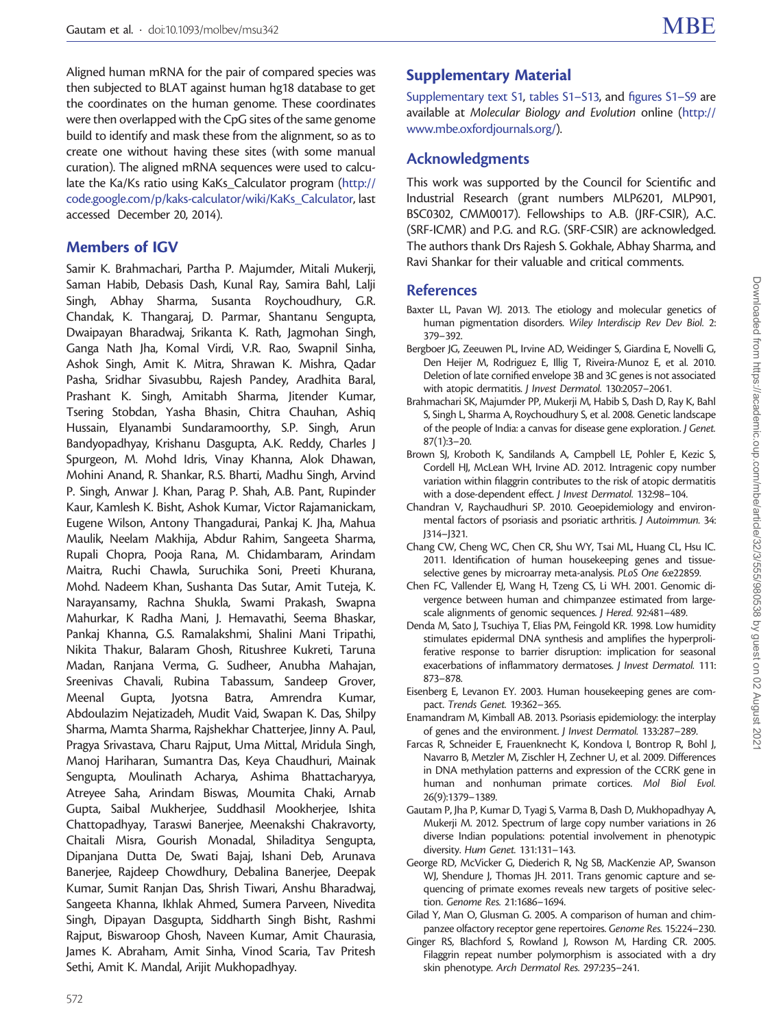Aligned human mRNA for the pair of compared species was then subjected to BLAT against human hg18 database to get the coordinates on the human genome. These coordinates were then overlapped with the CpG sites of the same genome build to identify and mask these from the alignment, so as to create one without having these sites (with some manual curation). The aligned mRNA sequences were used to calculate the Ka/Ks ratio using KaKs\_Calculator program (http:// code.google.com/p/kaks-calculator/wiki/KaKs\_Calculator, last accessed December 20, 2014).

# Members of IGV

Samir K. Brahmachari, Partha P. Majumder, Mitali Mukerji, Saman Habib, Debasis Dash, Kunal Ray, Samira Bahl, Lalji Singh, Abhay Sharma, Susanta Roychoudhury, G.R. Chandak, K. Thangaraj, D. Parmar, Shantanu Sengupta, Dwaipayan Bharadwaj, Srikanta K. Rath, Jagmohan Singh, Ganga Nath Jha, Komal Virdi, V.R. Rao, Swapnil Sinha, Ashok Singh, Amit K. Mitra, Shrawan K. Mishra, Qadar Pasha, Sridhar Sivasubbu, Rajesh Pandey, Aradhita Baral, Prashant K. Singh, Amitabh Sharma, Jitender Kumar, Tsering Stobdan, Yasha Bhasin, Chitra Chauhan, Ashiq Hussain, Elyanambi Sundaramoorthy, S.P. Singh, Arun Bandyopadhyay, Krishanu Dasgupta, A.K. Reddy, Charles J Spurgeon, M. Mohd Idris, Vinay Khanna, Alok Dhawan, Mohini Anand, R. Shankar, R.S. Bharti, Madhu Singh, Arvind P. Singh, Anwar J. Khan, Parag P. Shah, A.B. Pant, Rupinder Kaur, Kamlesh K. Bisht, Ashok Kumar, Victor Rajamanickam, Eugene Wilson, Antony Thangadurai, Pankaj K. Jha, Mahua Maulik, Neelam Makhija, Abdur Rahim, Sangeeta Sharma, Rupali Chopra, Pooja Rana, M. Chidambaram, Arindam Maitra, Ruchi Chawla, Suruchika Soni, Preeti Khurana, Mohd. Nadeem Khan, Sushanta Das Sutar, Amit Tuteja, K. Narayansamy, Rachna Shukla, Swami Prakash, Swapna Mahurkar, K Radha Mani, J. Hemavathi, Seema Bhaskar, Pankaj Khanna, G.S. Ramalakshmi, Shalini Mani Tripathi, Nikita Thakur, Balaram Ghosh, Ritushree Kukreti, Taruna Madan, Ranjana Verma, G. Sudheer, Anubha Mahajan, Sreenivas Chavali, Rubina Tabassum, Sandeep Grover, Meenal Gupta, Jyotsna Batra, Amrendra Kumar, Abdoulazim Nejatizadeh, Mudit Vaid, Swapan K. Das, Shilpy Sharma, Mamta Sharma, Rajshekhar Chatterjee, Jinny A. Paul, Pragya Srivastava, Charu Rajput, Uma Mittal, Mridula Singh, Manoj Hariharan, Sumantra Das, Keya Chaudhuri, Mainak Sengupta, Moulinath Acharya, Ashima Bhattacharyya, Atreyee Saha, Arindam Biswas, Moumita Chaki, Arnab Gupta, Saibal Mukherjee, Suddhasil Mookherjee, Ishita Chattopadhyay, Taraswi Banerjee, Meenakshi Chakravorty, Chaitali Misra, Gourish Monadal, Shiladitya Sengupta, Dipanjana Dutta De, Swati Bajaj, Ishani Deb, Arunava Banerjee, Rajdeep Chowdhury, Debalina Banerjee, Deepak Kumar, Sumit Ranjan Das, Shrish Tiwari, Anshu Bharadwaj, Sangeeta Khanna, Ikhlak Ahmed, Sumera Parveen, Nivedita Singh, Dipayan Dasgupta, Siddharth Singh Bisht, Rashmi Rajput, Biswaroop Ghosh, Naveen Kumar, Amit Chaurasia, James K. Abraham, Amit Sinha, Vinod Scaria, Tav Pritesh Sethi, Amit K. Mandal, Arijit Mukhopadhyay.

# Supplementary Material

Supplementary text S1, tables S1–S13, and figures S1–S9 are available at Molecular Biology and Evolution online (http:// www.mbe.oxfordjournals.org/).

# Acknowledgments

This work was supported by the Council for Scientific and Industrial Research (grant numbers MLP6201, MLP901, BSC0302, CMM0017). Fellowships to A.B. (JRF-CSIR), A.C. (SRF-ICMR) and P.G. and R.G. (SRF-CSIR) are acknowledged. The authors thank Drs Rajesh S. Gokhale, Abhay Sharma, and Ravi Shankar for their valuable and critical comments.

# References

- Baxter LL, Pavan WJ. 2013. The etiology and molecular genetics of human pigmentation disorders. Wiley Interdiscip Rev Dev Biol. 2: 379–392.
- Bergboer JG, Zeeuwen PL, Irvine AD, Weidinger S, Giardina E, Novelli G, Den Heijer M, Rodriguez E, Illig T, Riveira-Munoz E, et al. 2010. Deletion of late cornified envelope 3B and 3C genes is not associated with atopic dermatitis. J Invest Dermatol. 130:2057–2061.
- Brahmachari SK, Majumder PP, Mukerji M, Habib S, Dash D, Ray K, Bahl S, Singh L, Sharma A, Roychoudhury S, et al. 2008. Genetic landscape of the people of India: a canvas for disease gene exploration. J Genet. 87(1):3–20.
- Brown SJ, Kroboth K, Sandilands A, Campbell LE, Pohler E, Kezic S, Cordell HJ, McLean WH, Irvine AD. 2012. Intragenic copy number variation within filaggrin contributes to the risk of atopic dermatitis with a dose-dependent effect. J Invest Dermatol. 132:98–104.
- Chandran V, Raychaudhuri SP. 2010. Geoepidemiology and environmental factors of psoriasis and psoriatic arthritis. J Autoimmun. 34: J314–J321.
- Chang CW, Cheng WC, Chen CR, Shu WY, Tsai ML, Huang CL, Hsu IC. 2011. Identification of human housekeeping genes and tissueselective genes by microarray meta-analysis. PLoS One 6:e22859.
- Chen FC, Vallender EJ, Wang H, Tzeng CS, Li WH. 2001. Genomic divergence between human and chimpanzee estimated from largescale alignments of genomic sequences. J Hered. 92:481–489.
- Denda M, Sato J, Tsuchiya T, Elias PM, Feingold KR. 1998. Low humidity stimulates epidermal DNA synthesis and amplifies the hyperproliferative response to barrier disruption: implication for seasonal exacerbations of inflammatory dermatoses. *J Invest Dermatol*. 111: 873–878.
- Eisenberg E, Levanon EY. 2003. Human housekeeping genes are compact. Trends Genet. 19:362–365.
- Enamandram M, Kimball AB. 2013. Psoriasis epidemiology: the interplay of genes and the environment. J Invest Dermatol. 133:287–289.
- Farcas R, Schneider E, Frauenknecht K, Kondova I, Bontrop R, Bohl J, Navarro B, Metzler M, Zischler H, Zechner U, et al. 2009. Differences in DNA methylation patterns and expression of the CCRK gene in human and nonhuman primate cortices. Mol Biol Evol. 26(9):1379–1389.
- Gautam P, Jha P, Kumar D, Tyagi S, Varma B, Dash D, Mukhopadhyay A, Mukerji M. 2012. Spectrum of large copy number variations in 26 diverse Indian populations: potential involvement in phenotypic diversity. Hum Genet. 131:131–143.
- George RD, McVicker G, Diederich R, Ng SB, MacKenzie AP, Swanson WJ, Shendure J, Thomas JH. 2011. Trans genomic capture and sequencing of primate exomes reveals new targets of positive selection. Genome Res. 21:1686–1694.
- Gilad Y, Man O, Glusman G. 2005. A comparison of human and chimpanzee olfactory receptor gene repertoires. Genome Res. 15:224–230.
- Ginger RS, Blachford S, Rowland J, Rowson M, Harding CR. 2005. Filaggrin repeat number polymorphism is associated with a dry skin phenotype. Arch Dermatol Res. 297:235–241.